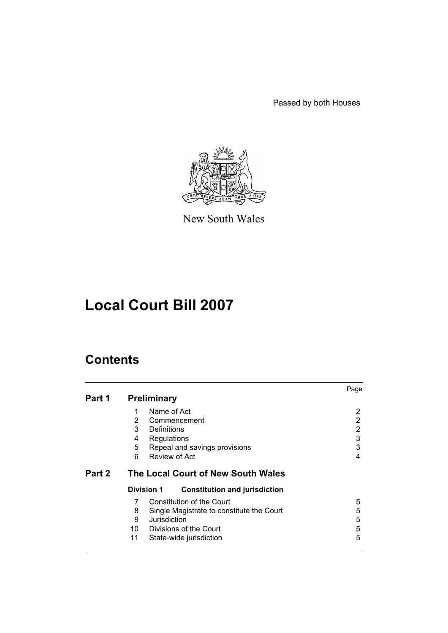Passed by both Houses



New South Wales

# **Local Court Bill 2007**

# **Contents**

|        |                                                                | Page |
|--------|----------------------------------------------------------------|------|
| Part 1 | <b>Preliminary</b>                                             |      |
|        | Name of Act<br>1                                               | 2    |
|        | $\mathbf{2}^{\prime}$<br>Commencement                          | 2    |
|        | 3<br>Definitions                                               | 2    |
|        | Regulations<br>4                                               | 3    |
|        | 5<br>Repeal and savings provisions                             | 3    |
|        | Review of Act<br>6                                             | 4    |
|        |                                                                |      |
| Part 2 | The Local Court of New South Wales                             |      |
|        | <b>Division 1</b><br><b>Constitution and jurisdiction</b>      |      |
|        | 7<br>Constitution of the Court                                 | 5    |
|        | 8                                                              | 5    |
|        | Single Magistrate to constitute the Court<br>Jurisdiction<br>9 | 5    |
|        | 10 Divisions of the Court                                      | 5    |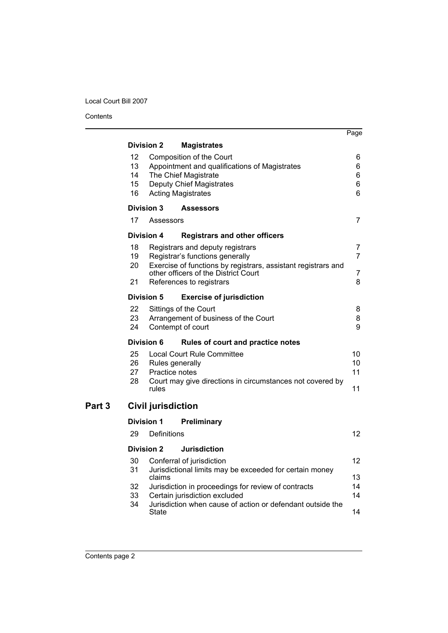Contents

J.

|                   |                            |                                            |                                                                                                                                                                              | Page                  |
|-------------------|----------------------------|--------------------------------------------|------------------------------------------------------------------------------------------------------------------------------------------------------------------------------|-----------------------|
|                   |                            | <b>Division 2</b>                          | <b>Magistrates</b>                                                                                                                                                           |                       |
|                   | 12<br>13<br>14<br>15<br>16 |                                            | Composition of the Court<br>Appointment and qualifications of Magistrates<br>The Chief Magistrate<br>Deputy Chief Magistrates<br><b>Acting Magistrates</b>                   | 6<br>6<br>6<br>6<br>6 |
|                   |                            | Division 3                                 | <b>Assessors</b>                                                                                                                                                             |                       |
|                   | 17                         | Assessors                                  |                                                                                                                                                                              | 7                     |
|                   |                            | <b>Division 4</b>                          | <b>Registrars and other officers</b>                                                                                                                                         |                       |
|                   | 18<br>19<br>20             |                                            | Registrars and deputy registrars<br>Registrar's functions generally<br>Exercise of functions by registrars, assistant registrars and<br>other officers of the District Court | 7<br>$\overline{7}$   |
|                   | 21                         |                                            | References to registrars                                                                                                                                                     | $\overline{7}$<br>8   |
|                   |                            | <b>Division 5</b>                          | <b>Exercise of jurisdiction</b>                                                                                                                                              |                       |
|                   | 22<br>23<br>24             |                                            | Sittings of the Court<br>Arrangement of business of the Court<br>Contempt of court                                                                                           | 8<br>8<br>9           |
|                   |                            | <b>Division 6</b>                          | Rules of court and practice notes                                                                                                                                            |                       |
|                   | 25<br>26<br>27<br>28       | Rules generally<br>Practice notes<br>rules | <b>Local Court Rule Committee</b><br>Court may give directions in circumstances not covered by                                                                               | 10<br>10<br>11<br>11  |
| Part <sub>3</sub> |                            | <b>Civil jurisdiction</b>                  |                                                                                                                                                                              |                       |
|                   |                            | <b>Division 1</b>                          | Preliminary                                                                                                                                                                  |                       |
|                   | 29                         | Definitions                                |                                                                                                                                                                              | 12                    |
|                   |                            | <b>Division 2</b>                          | <b>Jurisdiction</b>                                                                                                                                                          |                       |
|                   | 30<br>31                   |                                            | Conferral of jurisdiction<br>Jurisdictional limits may be exceeded for certain money                                                                                         | 12                    |
|                   | 32<br>33                   | claims                                     | Jurisdiction in proceedings for review of contracts<br>Certain jurisdiction excluded                                                                                         | 13<br>14<br>14        |
|                   | 34                         | State                                      | Jurisdiction when cause of action or defendant outside the                                                                                                                   | 14                    |
|                   |                            |                                            |                                                                                                                                                                              |                       |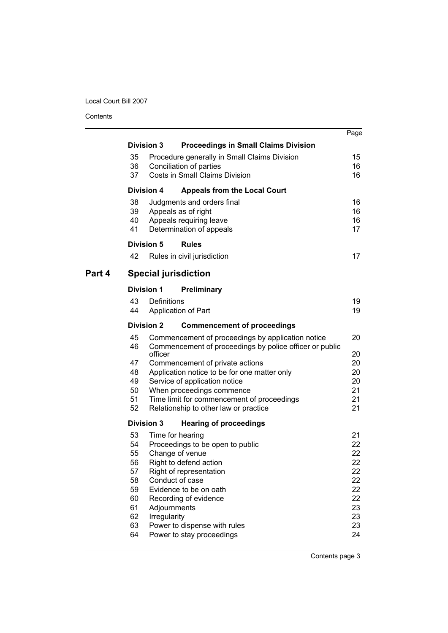Contents

|        |                   |                  |                                                                                     | Page     |
|--------|-------------------|------------------|-------------------------------------------------------------------------------------|----------|
|        | <b>Division 3</b> |                  | <b>Proceedings in Small Claims Division</b>                                         |          |
|        | 35                |                  | Procedure generally in Small Claims Division                                        | 15       |
|        | 36                |                  | Conciliation of parties                                                             | 16       |
|        | 37                |                  | <b>Costs in Small Claims Division</b>                                               | 16       |
|        | <b>Division 4</b> |                  | <b>Appeals from the Local Court</b>                                                 |          |
|        | 38                |                  | Judgments and orders final                                                          | 16       |
|        | 39                |                  | Appeals as of right                                                                 | 16       |
|        | 40                |                  | Appeals requiring leave                                                             | 16       |
|        | 41                |                  | Determination of appeals                                                            | 17       |
|        | <b>Division 5</b> |                  | <b>Rules</b>                                                                        |          |
|        | 42                |                  | Rules in civil jurisdiction                                                         | 17       |
| Part 4 |                   |                  | <b>Special jurisdiction</b>                                                         |          |
|        | <b>Division 1</b> |                  | Preliminary                                                                         |          |
|        | 43                | Definitions      |                                                                                     | 19       |
|        | 44                |                  | Application of Part                                                                 | 19       |
|        | <b>Division 2</b> |                  | <b>Commencement of proceedings</b>                                                  |          |
|        | 45                |                  | Commencement of proceedings by application notice                                   | 20       |
|        | 46                | officer          | Commencement of proceedings by police officer or public                             | 20       |
|        | 47                |                  | Commencement of private actions                                                     | 20       |
|        | 48                |                  | Application notice to be for one matter only                                        | 20       |
|        | 49                |                  | Service of application notice                                                       | 20       |
|        | 50                |                  | When proceedings commence                                                           | 21       |
|        | 51<br>52          |                  | Time limit for commencement of proceedings<br>Relationship to other law or practice | 21<br>21 |
|        | <b>Division 3</b> |                  | <b>Hearing of proceedings</b>                                                       |          |
|        | 53                | Time for hearing |                                                                                     | 21       |
|        | 54                |                  | Proceedings to be open to public                                                    | 22       |
|        | 55                |                  | Change of venue                                                                     | 22       |
|        | 56                |                  | Right to defend action                                                              | 22       |
|        | 57                |                  | Right of representation                                                             | 22       |
|        | 58                | Conduct of case  |                                                                                     | 22       |
|        | 59<br>60          |                  | Evidence to be on oath                                                              | 22<br>22 |
|        | 61                | Adjournments     | Recording of evidence                                                               | 23       |
|        | 62                | Irregularity     |                                                                                     | 23       |
|        | 63                |                  | Power to dispense with rules                                                        | 23       |
|        | 64                |                  | Power to stay proceedings                                                           | 24       |
|        |                   |                  |                                                                                     |          |

Contents page 3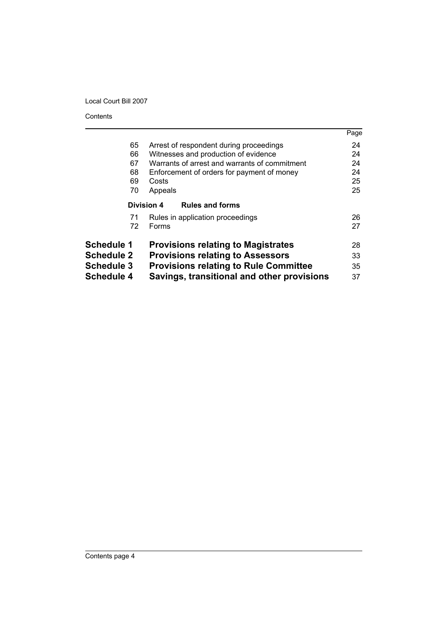Contents

|                   |                                               | Page |
|-------------------|-----------------------------------------------|------|
| 65                | Arrest of respondent during proceedings       | 24   |
| 66                | Witnesses and production of evidence          | 24   |
| 67                | Warrants of arrest and warrants of commitment | 24   |
| 68                | Enforcement of orders for payment of money    | 24   |
| 69                | Costs                                         | 25   |
| 70                | Appeals                                       | 25   |
|                   | <b>Division 4</b><br><b>Rules and forms</b>   |      |
| 71                | Rules in application proceedings              | 26   |
| 72                | Forms                                         | 27   |
| <b>Schedule 1</b> | <b>Provisions relating to Magistrates</b>     | 28   |
| <b>Schedule 2</b> | <b>Provisions relating to Assessors</b>       | 33   |
| <b>Schedule 3</b> | <b>Provisions relating to Rule Committee</b>  | 35   |
| Schedule 4        | Savings, transitional and other provisions    | 37   |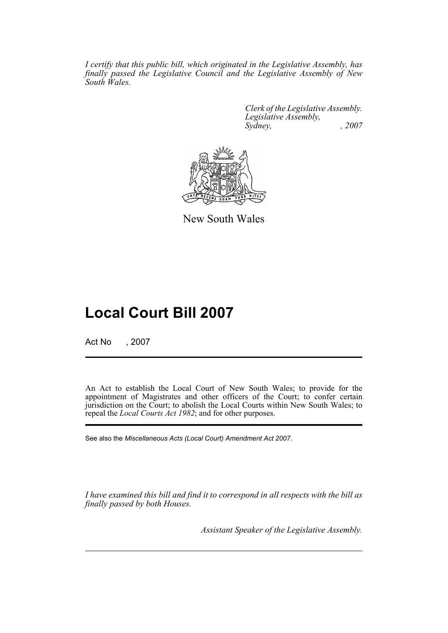*I certify that this public bill, which originated in the Legislative Assembly, has finally passed the Legislative Council and the Legislative Assembly of New South Wales.*

> *Clerk of the Legislative Assembly. Legislative Assembly, Sydney, , 2007*



New South Wales

# **Local Court Bill 2007**

Act No , 2007

An Act to establish the Local Court of New South Wales; to provide for the appointment of Magistrates and other officers of the Court; to confer certain jurisdiction on the Court; to abolish the Local Courts within New South Wales; to repeal the *Local Courts Act 1982*; and for other purposes.

See also the *Miscellaneous Acts (Local Court) Amendment Act 2007*.

*I have examined this bill and find it to correspond in all respects with the bill as finally passed by both Houses.*

*Assistant Speaker of the Legislative Assembly.*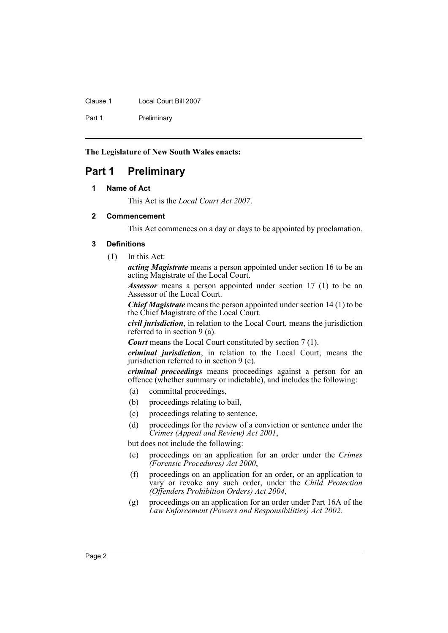Clause 1 Local Court Bill 2007

Part 1 Preliminary

**The Legislature of New South Wales enacts:**

# <span id="page-5-1"></span><span id="page-5-0"></span>**Part 1 Preliminary**

# **1 Name of Act**

This Act is the *Local Court Act 2007*.

#### <span id="page-5-2"></span>**2 Commencement**

This Act commences on a day or days to be appointed by proclamation.

#### <span id="page-5-3"></span>**3 Definitions**

(1) In this Act:

*acting Magistrate* means a person appointed under section 16 to be an acting Magistrate of the Local Court.

*Assessor* means a person appointed under section 17 (1) to be an Assessor of the Local Court.

*Chief Magistrate* means the person appointed under section 14 (1) to be the Chief Magistrate of the Local Court.

*civil jurisdiction*, in relation to the Local Court, means the jurisdiction referred to in section 9 (a).

*Court* means the Local Court constituted by section 7 (1).

*criminal jurisdiction*, in relation to the Local Court, means the jurisdiction referred to in section 9 (c).

*criminal proceedings* means proceedings against a person for an offence (whether summary or indictable), and includes the following:

- (a) committal proceedings,
- (b) proceedings relating to bail,
- (c) proceedings relating to sentence,
- (d) proceedings for the review of a conviction or sentence under the *Crimes (Appeal and Review) Act 2001*,

but does not include the following:

- (e) proceedings on an application for an order under the *Crimes (Forensic Procedures) Act 2000*,
- (f) proceedings on an application for an order, or an application to vary or revoke any such order, under the *Child Protection (Offenders Prohibition Orders) Act 2004*,
- (g) proceedings on an application for an order under Part 16A of the *Law Enforcement (Powers and Responsibilities) Act 2002*.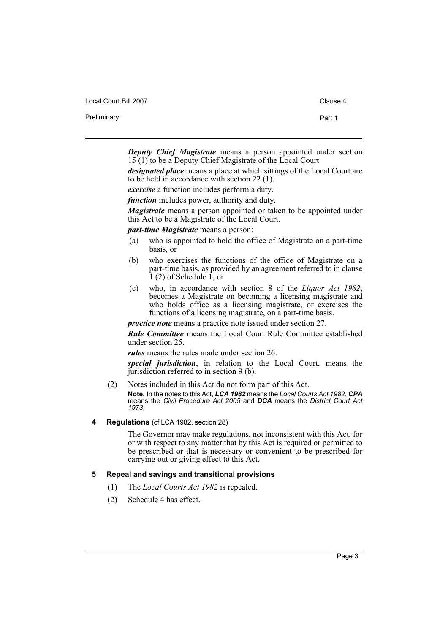| Local Court Bill 2007 | Clause 4 |
|-----------------------|----------|
| Preliminary           | Part 1   |

*Deputy Chief Magistrate* means a person appointed under section 15 (1) to be a Deputy Chief Magistrate of the Local Court.

*designated place* means a place at which sittings of the Local Court are to be held in accordance with section 22 (1).

*exercise* a function includes perform a duty.

*function* includes power, authority and duty.

*Magistrate* means a person appointed or taken to be appointed under this Act to be a Magistrate of the Local Court.

*part-time Magistrate* means a person:

- (a) who is appointed to hold the office of Magistrate on a part-time basis, or
- (b) who exercises the functions of the office of Magistrate on a part-time basis, as provided by an agreement referred to in clause  $\hat{1}$  (2) of Schedule  $\hat{1}$ , or
- (c) who, in accordance with section 8 of the *Liquor Act 1982*, becomes a Magistrate on becoming a licensing magistrate and who holds office as a licensing magistrate, or exercises the functions of a licensing magistrate, on a part-time basis.

*practice note* means a practice note issued under section 27.

*Rule Committee* means the Local Court Rule Committee established under section 25.

*rules* means the rules made under section 26.

*special jurisdiction*, in relation to the Local Court, means the jurisdiction referred to in section 9 (b).

- (2) Notes included in this Act do not form part of this Act. **Note.** In the notes to this Act, *LCA 1982* means the *Local Courts Act 1982*, *CPA* means the *Civil Procedure Act 2005* and *DCA* means the *District Court Act 1973*.
- <span id="page-6-0"></span>**4 Regulations** (cf LCA 1982, section 28)

The Governor may make regulations, not inconsistent with this Act, for or with respect to any matter that by this Act is required or permitted to be prescribed or that is necessary or convenient to be prescribed for carrying out or giving effect to this Act.

#### <span id="page-6-1"></span>**5 Repeal and savings and transitional provisions**

- (1) The *Local Courts Act 1982* is repealed.
- (2) Schedule 4 has effect.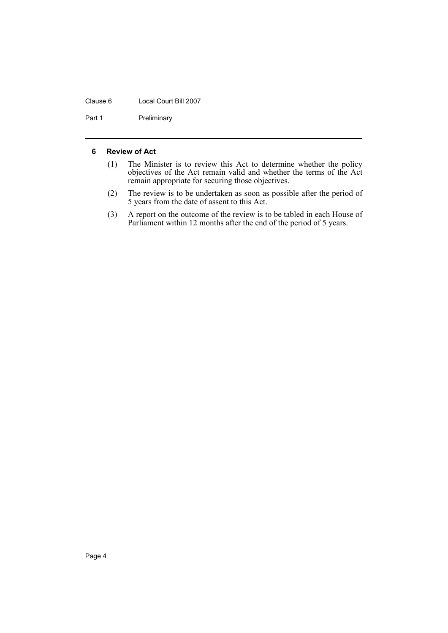#### Clause 6 Local Court Bill 2007

Part 1 Preliminary

#### <span id="page-7-0"></span>**6 Review of Act**

- (1) The Minister is to review this Act to determine whether the policy objectives of the Act remain valid and whether the terms of the Act remain appropriate for securing those objectives.
- (2) The review is to be undertaken as soon as possible after the period of 5 years from the date of assent to this Act.
- (3) A report on the outcome of the review is to be tabled in each House of Parliament within 12 months after the end of the period of 5 years.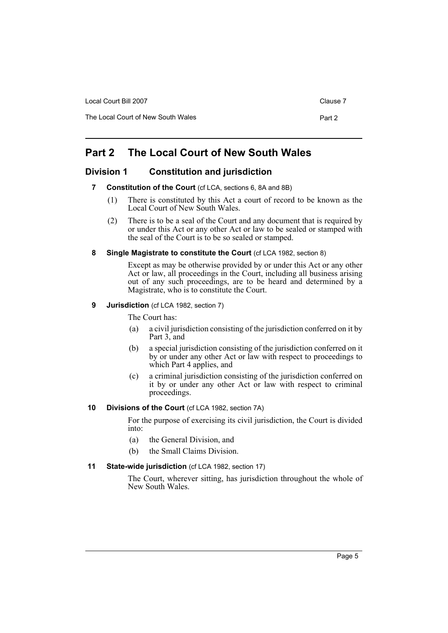| Local Court Bill 2007              | Clause 7 |
|------------------------------------|----------|
| The Local Court of New South Wales | Part 2   |

# <span id="page-8-0"></span>**Part 2 The Local Court of New South Wales**

# <span id="page-8-2"></span><span id="page-8-1"></span>**Division 1 Constitution and jurisdiction**

- **7 Constitution of the Court** (cf LCA, sections 6, 8A and 8B)
	- (1) There is constituted by this Act a court of record to be known as the Local Court of New South Wales.
	- (2) There is to be a seal of the Court and any document that is required by or under this Act or any other Act or law to be sealed or stamped with the seal of the Court is to be so sealed or stamped.
- <span id="page-8-3"></span>**8 Single Magistrate to constitute the Court** (cf LCA 1982, section 8)

Except as may be otherwise provided by or under this Act or any other Act or law, all proceedings in the Court, including all business arising out of any such proceedings, are to be heard and determined by a Magistrate, who is to constitute the Court.

# <span id="page-8-4"></span>**9 Jurisdiction** (cf LCA 1982, section 7)

The Court has:

- (a) a civil jurisdiction consisting of the jurisdiction conferred on it by Part 3, and
- (b) a special jurisdiction consisting of the jurisdiction conferred on it by or under any other Act or law with respect to proceedings to which Part 4 applies, and
- (c) a criminal jurisdiction consisting of the jurisdiction conferred on it by or under any other Act or law with respect to criminal proceedings.

# <span id="page-8-5"></span>**10 Divisions of the Court** (cf LCA 1982, section 7A)

For the purpose of exercising its civil jurisdiction, the Court is divided into:

- (a) the General Division, and
- (b) the Small Claims Division.

# <span id="page-8-6"></span>**11 State-wide jurisdiction** (cf LCA 1982, section 17)

The Court, wherever sitting, has jurisdiction throughout the whole of New South Wales.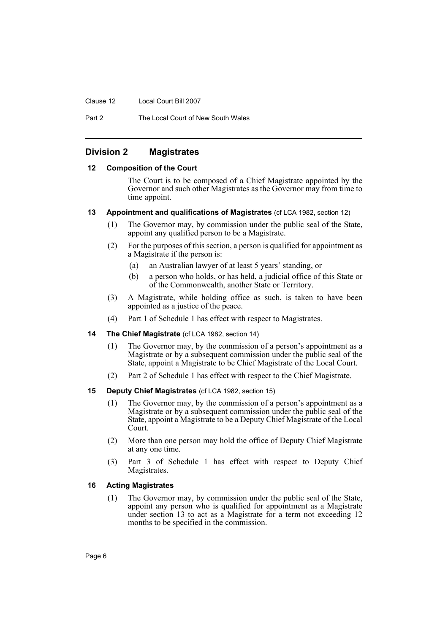Clause 12 Local Court Bill 2007

Part 2 The Local Court of New South Wales

# <span id="page-9-0"></span>**Division 2 Magistrates**

#### <span id="page-9-1"></span>**12 Composition of the Court**

The Court is to be composed of a Chief Magistrate appointed by the Governor and such other Magistrates as the Governor may from time to time appoint.

#### <span id="page-9-2"></span>**13 Appointment and qualifications of Magistrates** (cf LCA 1982, section 12)

- (1) The Governor may, by commission under the public seal of the State, appoint any qualified person to be a Magistrate.
- (2) For the purposes of this section, a person is qualified for appointment as a Magistrate if the person is:
	- (a) an Australian lawyer of at least 5 years' standing, or
	- (b) a person who holds, or has held, a judicial office of this State or of the Commonwealth, another State or Territory.
- (3) A Magistrate, while holding office as such, is taken to have been appointed as a justice of the peace.
- (4) Part 1 of Schedule 1 has effect with respect to Magistrates.
- <span id="page-9-3"></span>**14 The Chief Magistrate** (cf LCA 1982, section 14)
	- (1) The Governor may, by the commission of a person's appointment as a Magistrate or by a subsequent commission under the public seal of the State, appoint a Magistrate to be Chief Magistrate of the Local Court.
	- (2) Part 2 of Schedule 1 has effect with respect to the Chief Magistrate.

#### <span id="page-9-4"></span>**15 Deputy Chief Magistrates** (cf LCA 1982, section 15)

- (1) The Governor may, by the commission of a person's appointment as a Magistrate or by a subsequent commission under the public seal of the State, appoint a Magistrate to be a Deputy Chief Magistrate of the Local Court.
- (2) More than one person may hold the office of Deputy Chief Magistrate at any one time.
- (3) Part 3 of Schedule 1 has effect with respect to Deputy Chief Magistrates.

# <span id="page-9-5"></span>**16 Acting Magistrates**

(1) The Governor may, by commission under the public seal of the State, appoint any person who is qualified for appointment as a Magistrate under section 13 to act as a Magistrate for a term not exceeding 12 months to be specified in the commission.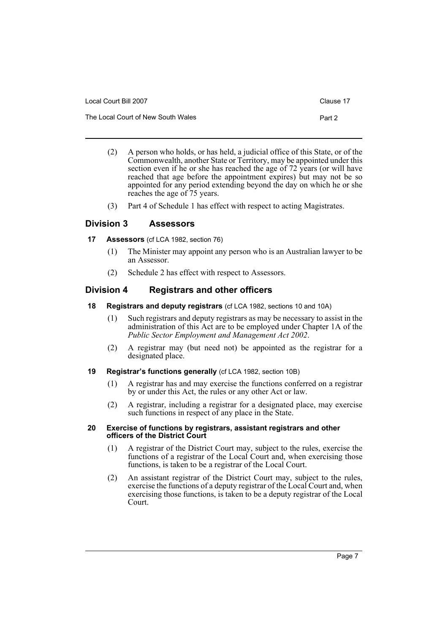| Local Court Bill 2007              | Clause 17 |
|------------------------------------|-----------|
| The Local Court of New South Wales | Part 2    |

- (2) A person who holds, or has held, a judicial office of this State, or of the Commonwealth, another State or Territory, may be appointed under this section even if he or she has reached the age of 72 years (or will have reached that age before the appointment expires) but may not be so appointed for any period extending beyond the day on which he or she reaches the age of 75 years.
- (3) Part 4 of Schedule 1 has effect with respect to acting Magistrates.

# <span id="page-10-0"></span>**Division 3 Assessors**

<span id="page-10-1"></span>**17 Assessors** (cf LCA 1982, section 76)

- (1) The Minister may appoint any person who is an Australian lawyer to be an Assessor.
- (2) Schedule 2 has effect with respect to Assessors.

# <span id="page-10-2"></span>**Division 4 Registrars and other officers**

- <span id="page-10-3"></span>**18 Registrars and deputy registrars** (cf LCA 1982, sections 10 and 10A)
	- (1) Such registrars and deputy registrars as may be necessary to assist in the administration of this Act are to be employed under Chapter 1A of the *Public Sector Employment and Management Act 2002*.
	- (2) A registrar may (but need not) be appointed as the registrar for a designated place.
- <span id="page-10-4"></span>**19 Registrar's functions generally** (cf LCA 1982, section 10B)
	- (1) A registrar has and may exercise the functions conferred on a registrar by or under this Act, the rules or any other Act or law.
	- (2) A registrar, including a registrar for a designated place, may exercise such functions in respect of any place in the State.

#### <span id="page-10-5"></span>**20 Exercise of functions by registrars, assistant registrars and other officers of the District Court**

- (1) A registrar of the District Court may, subject to the rules, exercise the functions of a registrar of the Local Court and, when exercising those functions, is taken to be a registrar of the Local Court.
- (2) An assistant registrar of the District Court may, subject to the rules, exercise the functions of a deputy registrar of the Local Court and, when exercising those functions, is taken to be a deputy registrar of the Local Court.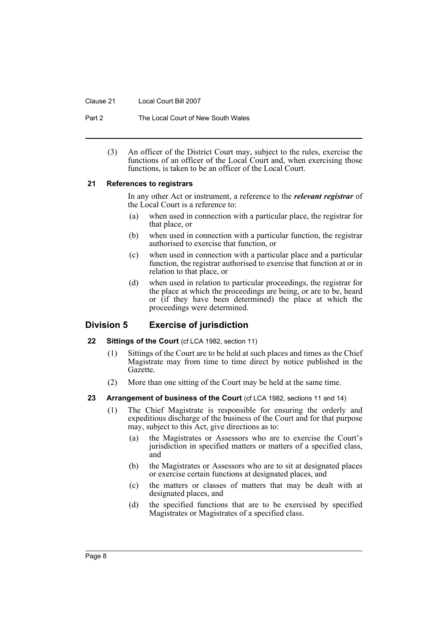Clause 21 Local Court Bill 2007

Part 2 The Local Court of New South Wales

(3) An officer of the District Court may, subject to the rules, exercise the functions of an officer of the Local Court and, when exercising those functions, is taken to be an officer of the Local Court.

#### <span id="page-11-0"></span>**21 References to registrars**

In any other Act or instrument, a reference to the *relevant registrar* of the Local Court is a reference to:

- (a) when used in connection with a particular place, the registrar for that place, or
- (b) when used in connection with a particular function, the registrar authorised to exercise that function, or
- (c) when used in connection with a particular place and a particular function, the registrar authorised to exercise that function at or in relation to that place, or
- (d) when used in relation to particular proceedings, the registrar for the place at which the proceedings are being, or are to be, heard or (if they have been determined) the place at which the proceedings were determined.

# <span id="page-11-1"></span>**Division 5 Exercise of jurisdiction**

# <span id="page-11-2"></span>**22 Sittings of the Court (cf LCA 1982, section 11)**

- (1) Sittings of the Court are to be held at such places and times as the Chief Magistrate may from time to time direct by notice published in the Gazette.
- (2) More than one sitting of the Court may be held at the same time.

# <span id="page-11-3"></span>23 Arrangement of business of the Court (cf LCA 1982, sections 11 and 14)

- (1) The Chief Magistrate is responsible for ensuring the orderly and expeditious discharge of the business of the Court and for that purpose may, subject to this Act, give directions as to:
	- (a) the Magistrates or Assessors who are to exercise the Court's jurisdiction in specified matters or matters of a specified class, and
	- (b) the Magistrates or Assessors who are to sit at designated places or exercise certain functions at designated places, and
	- (c) the matters or classes of matters that may be dealt with at designated places, and
	- (d) the specified functions that are to be exercised by specified Magistrates or Magistrates of a specified class.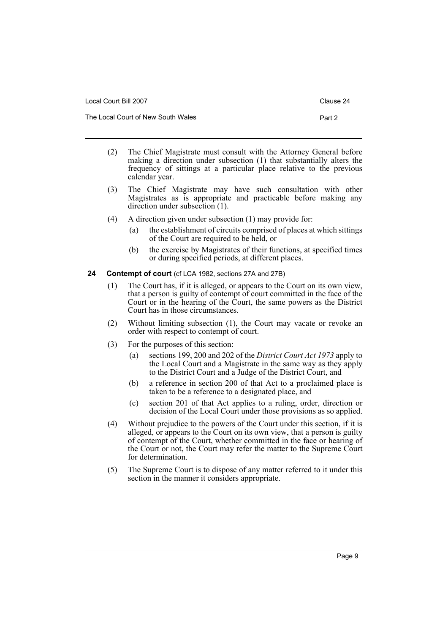| Local Court Bill 2007              | Clause 24 |
|------------------------------------|-----------|
| The Local Court of New South Wales | Part 2    |

- (2) The Chief Magistrate must consult with the Attorney General before making a direction under subsection (1) that substantially alters the frequency of sittings at a particular place relative to the previous calendar year.
- (3) The Chief Magistrate may have such consultation with other Magistrates as is appropriate and practicable before making any direction under subsection (1).
- (4) A direction given under subsection (1) may provide for:
	- (a) the establishment of circuits comprised of places at which sittings of the Court are required to be held, or
	- (b) the exercise by Magistrates of their functions, at specified times or during specified periods, at different places.

# <span id="page-12-0"></span>**24 Contempt of court** (cf LCA 1982, sections 27A and 27B)

- (1) The Court has, if it is alleged, or appears to the Court on its own view, that a person is guilty of contempt of court committed in the face of the Court or in the hearing of the Court, the same powers as the District Court has in those circumstances.
- (2) Without limiting subsection (1), the Court may vacate or revoke an order with respect to contempt of court.
- (3) For the purposes of this section:
	- (a) sections 199, 200 and 202 of the *District Court Act 1973* apply to the Local Court and a Magistrate in the same way as they apply to the District Court and a Judge of the District Court, and
	- (b) a reference in section 200 of that Act to a proclaimed place is taken to be a reference to a designated place, and
	- (c) section 201 of that Act applies to a ruling, order, direction or decision of the Local Court under those provisions as so applied.
- (4) Without prejudice to the powers of the Court under this section, if it is alleged, or appears to the Court on its own view, that a person is guilty of contempt of the Court, whether committed in the face or hearing of the Court or not, the Court may refer the matter to the Supreme Court for determination.
- (5) The Supreme Court is to dispose of any matter referred to it under this section in the manner it considers appropriate.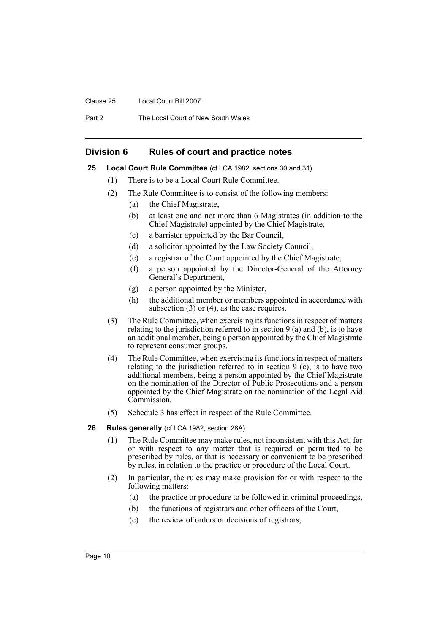#### Clause 25 Local Court Bill 2007

Part 2 The Local Court of New South Wales

# <span id="page-13-0"></span>**Division 6 Rules of court and practice notes**

#### <span id="page-13-1"></span>**25 Local Court Rule Committee** (cf LCA 1982, sections 30 and 31)

- (1) There is to be a Local Court Rule Committee.
- (2) The Rule Committee is to consist of the following members:
	- (a) the Chief Magistrate,
	- (b) at least one and not more than 6 Magistrates (in addition to the Chief Magistrate) appointed by the Chief Magistrate,
	- (c) a barrister appointed by the Bar Council,
	- (d) a solicitor appointed by the Law Society Council,
	- (e) a registrar of the Court appointed by the Chief Magistrate,
	- (f) a person appointed by the Director-General of the Attorney General's Department,
	- (g) a person appointed by the Minister,
	- (h) the additional member or members appointed in accordance with subsection (3) or (4), as the case requires.
- (3) The Rule Committee, when exercising its functions in respect of matters relating to the jurisdiction referred to in section 9 (a) and (b), is to have an additional member, being a person appointed by the Chief Magistrate to represent consumer groups.
- (4) The Rule Committee, when exercising its functions in respect of matters relating to the jurisdiction referred to in section 9 (c), is to have two additional members, being a person appointed by the Chief Magistrate on the nomination of the Director of Public Prosecutions and a person appointed by the Chief Magistrate on the nomination of the Legal Aid Commission.
- (5) Schedule 3 has effect in respect of the Rule Committee.

#### <span id="page-13-2"></span>**26 Rules generally** (cf LCA 1982, section 28A)

- (1) The Rule Committee may make rules, not inconsistent with this Act, for or with respect to any matter that is required or permitted to be prescribed by rules, or that is necessary or convenient to be prescribed by rules, in relation to the practice or procedure of the Local Court.
- (2) In particular, the rules may make provision for or with respect to the following matters:
	- (a) the practice or procedure to be followed in criminal proceedings,
	- (b) the functions of registrars and other officers of the Court,
	- (c) the review of orders or decisions of registrars,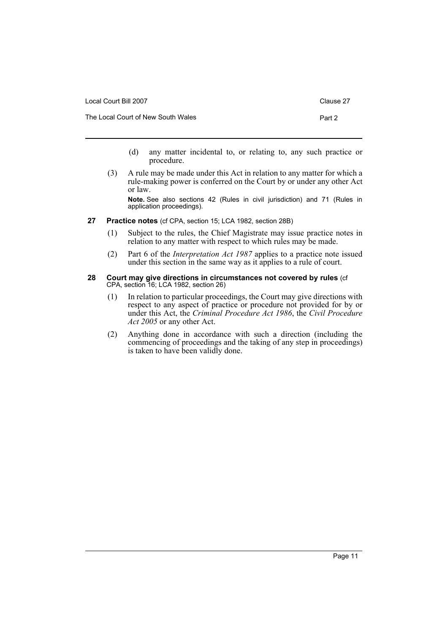| Local Court Bill 2007              | Clause 27 |
|------------------------------------|-----------|
| The Local Court of New South Wales | Part 2    |

- (d) any matter incidental to, or relating to, any such practice or procedure.
- (3) A rule may be made under this Act in relation to any matter for which a rule-making power is conferred on the Court by or under any other Act or law.

**Note.** See also sections 42 (Rules in civil jurisdiction) and 71 (Rules in application proceedings).

- <span id="page-14-0"></span>**27 Practice notes** (cf CPA, section 15; LCA 1982, section 28B)
	- (1) Subject to the rules, the Chief Magistrate may issue practice notes in relation to any matter with respect to which rules may be made.
	- (2) Part 6 of the *Interpretation Act 1987* applies to a practice note issued under this section in the same way as it applies to a rule of court.

#### <span id="page-14-1"></span>**28 Court may give directions in circumstances not covered by rules** (cf CPA, section 16; LCA 1982, section 26)

- (1) In relation to particular proceedings, the Court may give directions with respect to any aspect of practice or procedure not provided for by or under this Act, the *Criminal Procedure Act 1986*, the *Civil Procedure Act 2005* or any other Act.
- (2) Anything done in accordance with such a direction (including the commencing of proceedings and the taking of any step in proceedings) is taken to have been validly done.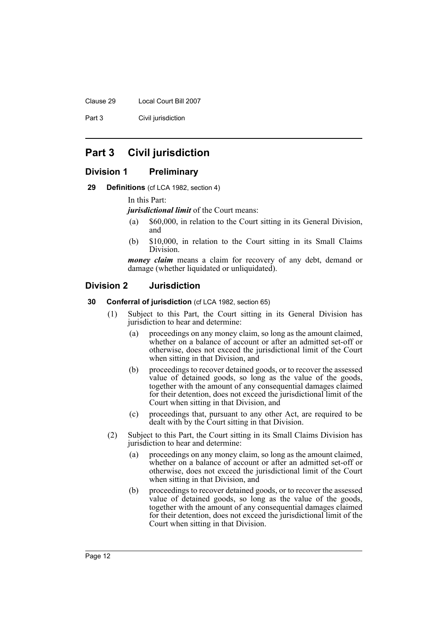Clause 29 Local Court Bill 2007

Part 3 Civil jurisdiction

# <span id="page-15-0"></span>**Part 3 Civil jurisdiction**

# <span id="page-15-1"></span>**Division 1 Preliminary**

<span id="page-15-2"></span>**29 Definitions** (cf LCA 1982, section 4)

In this Part:

*jurisdictional limit* of the Court means:

- (a) \$60,000, in relation to the Court sitting in its General Division, and
- (b) \$10,000, in relation to the Court sitting in its Small Claims Division.

*money claim* means a claim for recovery of any debt, demand or damage (whether liquidated or unliquidated).

# <span id="page-15-3"></span>**Division 2 Jurisdiction**

#### <span id="page-15-4"></span>**30 Conferral of jurisdiction** (cf LCA 1982, section 65)

- (1) Subject to this Part, the Court sitting in its General Division has jurisdiction to hear and determine:
	- (a) proceedings on any money claim, so long as the amount claimed, whether on a balance of account or after an admitted set-off or otherwise, does not exceed the jurisdictional limit of the Court when sitting in that Division, and
	- (b) proceedings to recover detained goods, or to recover the assessed value of detained goods, so long as the value of the goods, together with the amount of any consequential damages claimed for their detention, does not exceed the jurisdictional limit of the Court when sitting in that Division, and
	- (c) proceedings that, pursuant to any other Act, are required to be dealt with by the Court sitting in that Division.
- (2) Subject to this Part, the Court sitting in its Small Claims Division has jurisdiction to hear and determine:
	- (a) proceedings on any money claim, so long as the amount claimed, whether on a balance of account or after an admitted set-off or otherwise, does not exceed the jurisdictional limit of the Court when sitting in that Division, and
	- (b) proceedings to recover detained goods, or to recover the assessed value of detained goods, so long as the value of the goods, together with the amount of any consequential damages claimed for their detention, does not exceed the jurisdictional limit of the Court when sitting in that Division.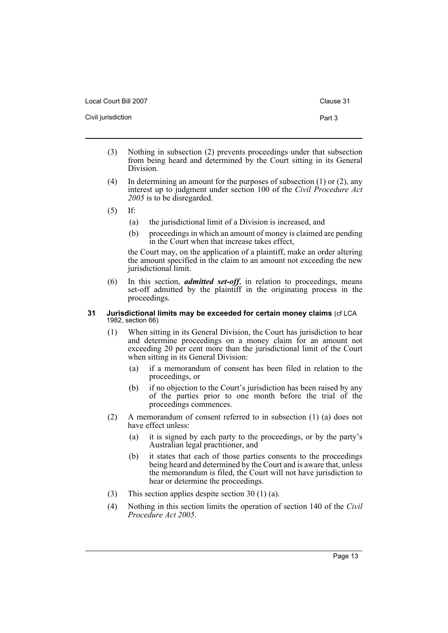Local Court Bill 2007 Clause 31

Civil jurisdiction **Part 3** 

- 
- (3) Nothing in subsection (2) prevents proceedings under that subsection from being heard and determined by the Court sitting in its General Division.
- (4) In determining an amount for the purposes of subsection (1) or (2), any interest up to judgment under section 100 of the *Civil Procedure Act 2005* is to be disregarded.
- (5) If:
	- (a) the jurisdictional limit of a Division is increased, and
	- (b) proceedings in which an amount of money is claimed are pending in the Court when that increase takes effect,

the Court may, on the application of a plaintiff, make an order altering the amount specified in the claim to an amount not exceeding the new jurisdictional limit.

(6) In this section, *admitted set-off*, in relation to proceedings, means set-off admitted by the plaintiff in the originating process in the proceedings.

#### <span id="page-16-0"></span>**31 Jurisdictional limits may be exceeded for certain money claims** (cf LCA 1982, section 66)

- (1) When sitting in its General Division, the Court has jurisdiction to hear and determine proceedings on a money claim for an amount not exceeding 20 per cent more than the jurisdictional limit of the Court when sitting in its General Division:
	- (a) if a memorandum of consent has been filed in relation to the proceedings, or
	- (b) if no objection to the Court's jurisdiction has been raised by any of the parties prior to one month before the trial of the proceedings commences.
- (2) A memorandum of consent referred to in subsection (1) (a) does not have effect unless:
	- (a) it is signed by each party to the proceedings, or by the party's Australian legal practitioner, and
	- (b) it states that each of those parties consents to the proceedings being heard and determined by the Court and is aware that, unless the memorandum is filed, the Court will not have jurisdiction to hear or determine the proceedings.
- (3) This section applies despite section 30 (1) (a).
- (4) Nothing in this section limits the operation of section 140 of the *Civil Procedure Act 2005*.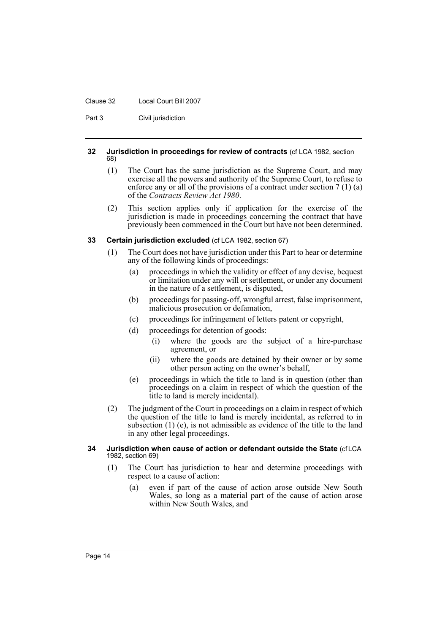#### Clause 32 Local Court Bill 2007

Part 3 Civil jurisdiction

#### <span id="page-17-0"></span>**32 Jurisdiction in proceedings for review of contracts** (cf LCA 1982, section 68)

- (1) The Court has the same jurisdiction as the Supreme Court, and may exercise all the powers and authority of the Supreme Court, to refuse to enforce any or all of the provisions of a contract under section 7 (1) (a) of the *Contracts Review Act 1980*.
- (2) This section applies only if application for the exercise of the jurisdiction is made in proceedings concerning the contract that have previously been commenced in the Court but have not been determined.

#### <span id="page-17-1"></span>**33 Certain jurisdiction excluded** (cf LCA 1982, section 67)

- (1) The Court does not have jurisdiction under this Part to hear or determine any of the following kinds of proceedings:
	- (a) proceedings in which the validity or effect of any devise, bequest or limitation under any will or settlement, or under any document in the nature of a settlement, is disputed,
	- (b) proceedings for passing-off, wrongful arrest, false imprisonment, malicious prosecution or defamation,
	- (c) proceedings for infringement of letters patent or copyright,
	- (d) proceedings for detention of goods:
		- (i) where the goods are the subject of a hire-purchase agreement, or
		- (ii) where the goods are detained by their owner or by some other person acting on the owner's behalf,
	- (e) proceedings in which the title to land is in question (other than proceedings on a claim in respect of which the question of the title to land is merely incidental).
- (2) The judgment of the Court in proceedings on a claim in respect of which the question of the title to land is merely incidental, as referred to in subsection (1) (e), is not admissible as evidence of the title to the land in any other legal proceedings.

#### <span id="page-17-2"></span>**34 Jurisdiction when cause of action or defendant outside the State** (cf LCA 1982, section 69)

- (1) The Court has jurisdiction to hear and determine proceedings with respect to a cause of action:
	- (a) even if part of the cause of action arose outside New South Wales, so long as a material part of the cause of action arose within New South Wales, and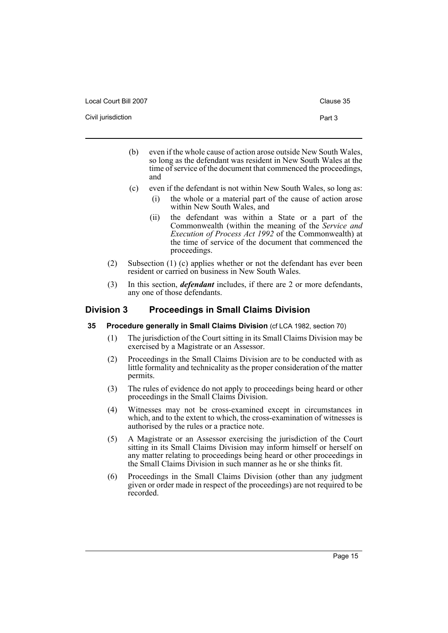|  | Local Court Bill 2007 |
|--|-----------------------|
|--|-----------------------|

Civil jurisdiction **Part 3** 

- 
- (b) even if the whole cause of action arose outside New South Wales, so long as the defendant was resident in New South Wales at the time of service of the document that commenced the proceedings, and
- (c) even if the defendant is not within New South Wales, so long as:
	- (i) the whole or a material part of the cause of action arose within New South Wales, and
	- (ii) the defendant was within a State or a part of the Commonwealth (within the meaning of the *Service and Execution of Process Act 1992* of the Commonwealth) at the time of service of the document that commenced the proceedings.
- (2) Subsection (1) (c) applies whether or not the defendant has ever been resident or carried on business in New South Wales.
- (3) In this section, *defendant* includes, if there are 2 or more defendants, any one of those defendants.

# <span id="page-18-0"></span>**Division 3 Proceedings in Small Claims Division**

# <span id="page-18-1"></span>**35 Procedure generally in Small Claims Division** (cf LCA 1982, section 70)

- (1) The jurisdiction of the Court sitting in its Small Claims Division may be exercised by a Magistrate or an Assessor.
- (2) Proceedings in the Small Claims Division are to be conducted with as little formality and technicality as the proper consideration of the matter permits.
- (3) The rules of evidence do not apply to proceedings being heard or other proceedings in the Small Claims Division.
- (4) Witnesses may not be cross-examined except in circumstances in which, and to the extent to which, the cross-examination of witnesses is authorised by the rules or a practice note.
- (5) A Magistrate or an Assessor exercising the jurisdiction of the Court sitting in its Small Claims Division may inform himself or herself on any matter relating to proceedings being heard or other proceedings in the Small Claims Division in such manner as he or she thinks fit.
- (6) Proceedings in the Small Claims Division (other than any judgment given or order made in respect of the proceedings) are not required to be recorded.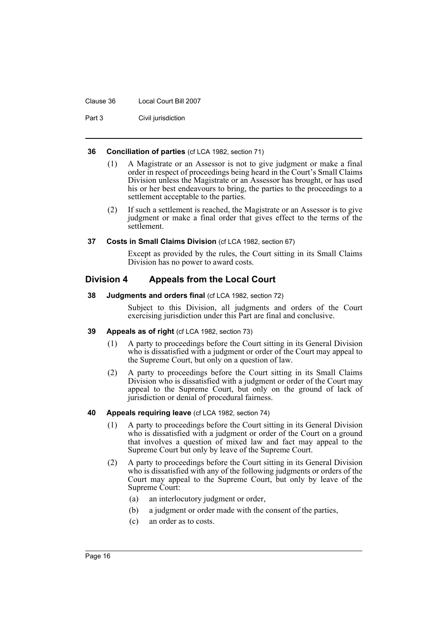#### Clause 36 Local Court Bill 2007

Part 3 Civil jurisdiction

#### <span id="page-19-0"></span>**36 Conciliation of parties** (cf LCA 1982, section 71)

- (1) A Magistrate or an Assessor is not to give judgment or make a final order in respect of proceedings being heard in the Court's Small Claims Division unless the Magistrate or an Assessor has brought, or has used his or her best endeavours to bring, the parties to the proceedings to a settlement acceptable to the parties.
- (2) If such a settlement is reached, the Magistrate or an Assessor is to give judgment or make a final order that gives effect to the terms of the settlement.

#### <span id="page-19-1"></span>**37 Costs in Small Claims Division** (cf LCA 1982, section 67)

Except as provided by the rules, the Court sitting in its Small Claims Division has no power to award costs.

# <span id="page-19-2"></span>**Division 4 Appeals from the Local Court**

#### <span id="page-19-3"></span>**38 Judgments and orders final** (cf LCA 1982, section 72)

Subject to this Division, all judgments and orders of the Court exercising jurisdiction under this Part are final and conclusive.

#### <span id="page-19-4"></span>**39 Appeals as of right** (cf LCA 1982, section 73)

- (1) A party to proceedings before the Court sitting in its General Division who is dissatisfied with a judgment or order of the Court may appeal to the Supreme Court, but only on a question of law.
- (2) A party to proceedings before the Court sitting in its Small Claims Division who is dissatisfied with a judgment or order of the Court may appeal to the Supreme Court, but only on the ground of lack of jurisdiction or denial of procedural fairness.

# <span id="page-19-5"></span>**40 Appeals requiring leave** (cf LCA 1982, section 74)

- (1) A party to proceedings before the Court sitting in its General Division who is dissatisfied with a judgment or order of the Court on a ground that involves a question of mixed law and fact may appeal to the Supreme Court but only by leave of the Supreme Court.
- (2) A party to proceedings before the Court sitting in its General Division who is dissatisfied with any of the following judgments or orders of the Court may appeal to the Supreme Court, but only by leave of the Supreme Court:
	- (a) an interlocutory judgment or order,
	- (b) a judgment or order made with the consent of the parties,
	- (c) an order as to costs.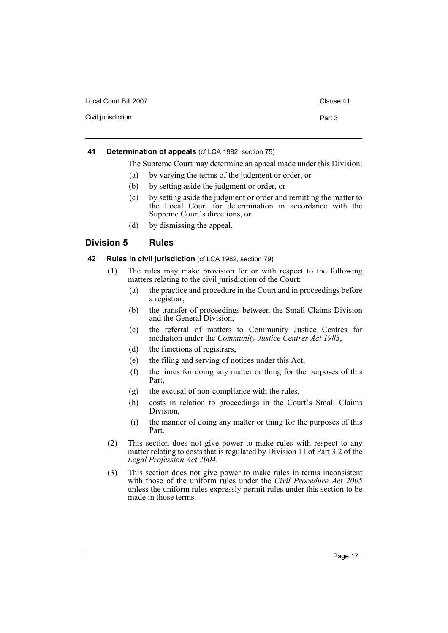| Local Court Bill 2007 | Clause 41 |
|-----------------------|-----------|
| Civil jurisdiction    | Part 3    |

### <span id="page-20-0"></span>**41 Determination of appeals** (cf LCA 1982, section 75)

The Supreme Court may determine an appeal made under this Division:

- (a) by varying the terms of the judgment or order, or
- (b) by setting aside the judgment or order, or
- (c) by setting aside the judgment or order and remitting the matter to the Local Court for determination in accordance with the Supreme Court's directions, or
- (d) by dismissing the appeal.

# <span id="page-20-1"></span>**Division 5 Rules**

#### <span id="page-20-2"></span>**42 Rules in civil jurisdiction** (cf LCA 1982, section 79)

- (1) The rules may make provision for or with respect to the following matters relating to the civil jurisdiction of the Court:
	- (a) the practice and procedure in the Court and in proceedings before a registrar,
	- (b) the transfer of proceedings between the Small Claims Division and the General Division,
	- (c) the referral of matters to Community Justice Centres for mediation under the *Community Justice Centres Act 1983*,
	- (d) the functions of registrars,
	- (e) the filing and serving of notices under this Act,
	- (f) the times for doing any matter or thing for the purposes of this Part,
	- (g) the excusal of non-compliance with the rules,
	- (h) costs in relation to proceedings in the Court's Small Claims Division,
	- (i) the manner of doing any matter or thing for the purposes of this Part.
- (2) This section does not give power to make rules with respect to any matter relating to costs that is regulated by Division 11 of Part 3.2 of the *Legal Profession Act 2004*.
- (3) This section does not give power to make rules in terms inconsistent with those of the uniform rules under the *Civil Procedure Act 2005* unless the uniform rules expressly permit rules under this section to be made in those terms.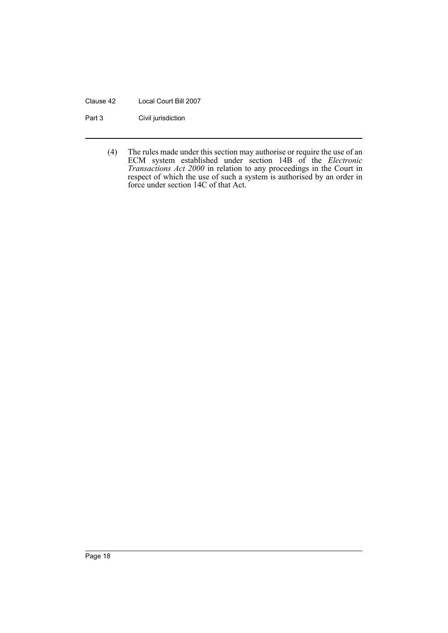#### Clause 42 Local Court Bill 2007

Part 3 Civil jurisdiction

(4) The rules made under this section may authorise or require the use of an ECM system established under section 14B of the *Electronic Transactions Act 2000* in relation to any proceedings in the Court in respect of which the use of such a system is authorised by an order in force under section 14C of that Act.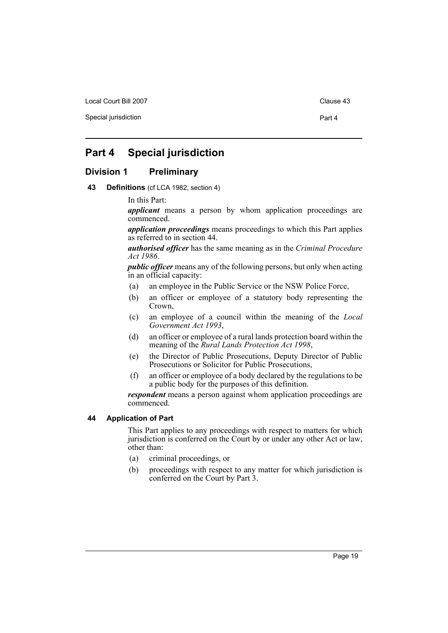Local Court Bill 2007 Clause 43

Special jurisdiction **Part 4** 

# <span id="page-22-0"></span>**Part 4 Special jurisdiction**

# <span id="page-22-1"></span>**Division 1 Preliminary**

<span id="page-22-2"></span>**43 Definitions** (cf LCA 1982, section 4)

In this Part:

*applicant* means a person by whom application proceedings are commenced.

*application proceedings* means proceedings to which this Part applies as referred to in section 44.

*authorised officer* has the same meaning as in the *Criminal Procedure Act 1986*.

*public officer* means any of the following persons, but only when acting in an official capacity:

- (a) an employee in the Public Service or the NSW Police Force,
- (b) an officer or employee of a statutory body representing the Crown,
- (c) an employee of a council within the meaning of the *Local Government Act 1993*,
- (d) an officer or employee of a rural lands protection board within the meaning of the *Rural Lands Protection Act 1998*,
- (e) the Director of Public Prosecutions, Deputy Director of Public Prosecutions or Solicitor for Public Prosecutions,
- (f) an officer or employee of a body declared by the regulations to be a public body for the purposes of this definition.

*respondent* means a person against whom application proceedings are commenced.

#### <span id="page-22-3"></span>**44 Application of Part**

This Part applies to any proceedings with respect to matters for which jurisdiction is conferred on the Court by or under any other Act or law, other than:

- (a) criminal proceedings, or
- (b) proceedings with respect to any matter for which jurisdiction is conferred on the Court by Part 3.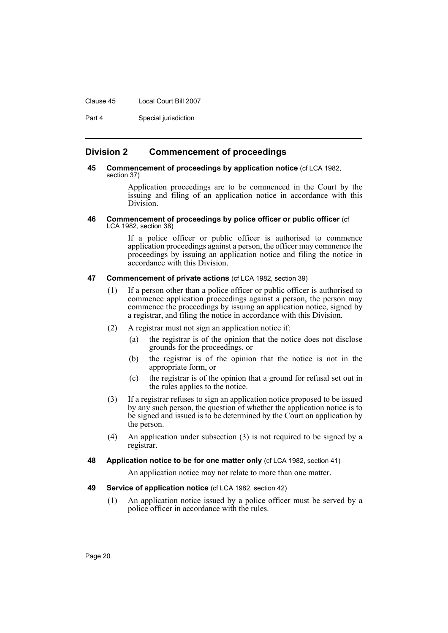#### Clause 45 Local Court Bill 2007

Part 4 Special jurisdiction

# <span id="page-23-0"></span>**Division 2 Commencement of proceedings**

#### <span id="page-23-1"></span>**45 Commencement of proceedings by application notice** (cf LCA 1982, section 37)

Application proceedings are to be commenced in the Court by the issuing and filing of an application notice in accordance with this Division.

#### <span id="page-23-2"></span>**46 Commencement of proceedings by police officer or public officer** (cf LCA 1982, section 38)

If a police officer or public officer is authorised to commence application proceedings against a person, the officer may commence the proceedings by issuing an application notice and filing the notice in accordance with this Division.

#### <span id="page-23-3"></span>**47 Commencement of private actions** (cf LCA 1982, section 39)

- (1) If a person other than a police officer or public officer is authorised to commence application proceedings against a person, the person may commence the proceedings by issuing an application notice, signed by a registrar, and filing the notice in accordance with this Division.
- (2) A registrar must not sign an application notice if:
	- (a) the registrar is of the opinion that the notice does not disclose grounds for the proceedings, or
	- (b) the registrar is of the opinion that the notice is not in the appropriate form, or
	- (c) the registrar is of the opinion that a ground for refusal set out in the rules applies to the notice.
- (3) If a registrar refuses to sign an application notice proposed to be issued by any such person, the question of whether the application notice is to be signed and issued is to be determined by the Court on application by the person.
- (4) An application under subsection (3) is not required to be signed by a registrar.
- <span id="page-23-4"></span>**48 Application notice to be for one matter only** (cf LCA 1982, section 41)

An application notice may not relate to more than one matter.

#### <span id="page-23-5"></span>**49 Service of application notice** (cf LCA 1982, section 42)

(1) An application notice issued by a police officer must be served by a police officer in accordance with the rules.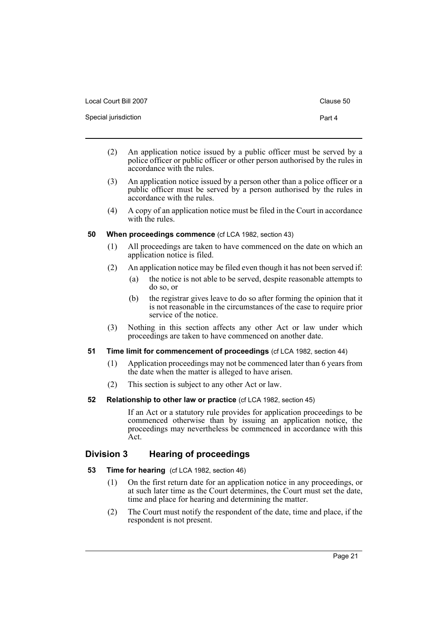| Local Court Bill 2007 | Clause 50 |
|-----------------------|-----------|
| Special jurisdiction  | Part 4    |

- (2) An application notice issued by a public officer must be served by a police officer or public officer or other person authorised by the rules in accordance with the rules.
- (3) An application notice issued by a person other than a police officer or a public officer must be served by a person authorised by the rules in accordance with the rules.
- (4) A copy of an application notice must be filed in the Court in accordance with the rules.

# <span id="page-24-0"></span>**50 When proceedings commence** (cf LCA 1982, section 43)

- (1) All proceedings are taken to have commenced on the date on which an application notice is filed.
- (2) An application notice may be filed even though it has not been served if:
	- (a) the notice is not able to be served, despite reasonable attempts to do so, or
	- (b) the registrar gives leave to do so after forming the opinion that it is not reasonable in the circumstances of the case to require prior service of the notice.
- (3) Nothing in this section affects any other Act or law under which proceedings are taken to have commenced on another date.

# <span id="page-24-1"></span>**51 Time limit for commencement of proceedings** (cf LCA 1982, section 44)

- (1) Application proceedings may not be commenced later than 6 years from the date when the matter is alleged to have arisen.
- (2) This section is subject to any other Act or law.
- <span id="page-24-2"></span>**52 Relationship to other law or practice** (cf LCA 1982, section 45)

If an Act or a statutory rule provides for application proceedings to be commenced otherwise than by issuing an application notice, the proceedings may nevertheless be commenced in accordance with this Act.

# <span id="page-24-3"></span>**Division 3 Hearing of proceedings**

- <span id="page-24-4"></span>**53 Time for hearing** (cf LCA 1982, section 46)
	- (1) On the first return date for an application notice in any proceedings, or at such later time as the Court determines, the Court must set the date, time and place for hearing and determining the matter.
	- (2) The Court must notify the respondent of the date, time and place, if the respondent is not present.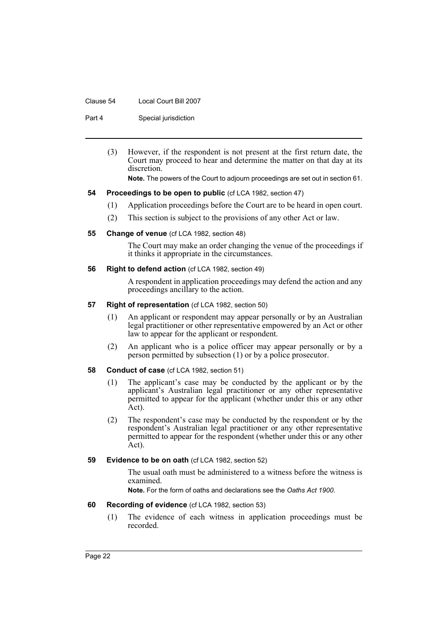#### Clause 54 Local Court Bill 2007

Part 4 Special jurisdiction

(3) However, if the respondent is not present at the first return date, the Court may proceed to hear and determine the matter on that day at its discretion.

**Note.** The powers of the Court to adjourn proceedings are set out in section 61.

#### <span id="page-25-0"></span>**54 Proceedings to be open to public** (cf LCA 1982, section 47)

- (1) Application proceedings before the Court are to be heard in open court.
- (2) This section is subject to the provisions of any other Act or law.

#### <span id="page-25-1"></span>**55 Change of venue** (cf LCA 1982, section 48)

The Court may make an order changing the venue of the proceedings if it thinks it appropriate in the circumstances.

#### <span id="page-25-2"></span>**56 Right to defend action** (cf LCA 1982, section 49)

A respondent in application proceedings may defend the action and any proceedings ancillary to the action.

#### <span id="page-25-3"></span>**57 Right of representation** (cf LCA 1982, section 50)

- (1) An applicant or respondent may appear personally or by an Australian legal practitioner or other representative empowered by an Act or other law to appear for the applicant or respondent.
- (2) An applicant who is a police officer may appear personally or by a person permitted by subsection (1) or by a police prosecutor.

#### <span id="page-25-4"></span>**58 Conduct of case** (cf LCA 1982, section 51)

- (1) The applicant's case may be conducted by the applicant or by the applicant's Australian legal practitioner or any other representative permitted to appear for the applicant (whether under this or any other Act).
- (2) The respondent's case may be conducted by the respondent or by the respondent's Australian legal practitioner or any other representative permitted to appear for the respondent (whether under this or any other Act).

# <span id="page-25-5"></span>**59** Evidence to be on oath (cf LCA 1982, section 52)

The usual oath must be administered to a witness before the witness is examined.

**Note.** For the form of oaths and declarations see the *Oaths Act 1900*.

#### <span id="page-25-6"></span>**60 Recording of evidence** (cf LCA 1982, section 53)

(1) The evidence of each witness in application proceedings must be recorded.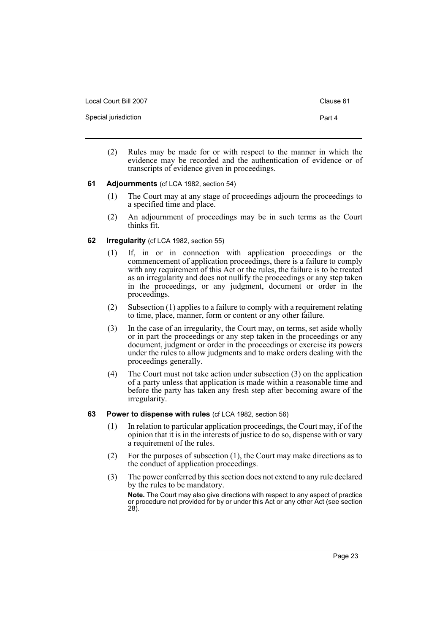| Local Court Bill 2007 | Clause 61 |
|-----------------------|-----------|
| Special jurisdiction  | Part 4    |

(2) Rules may be made for or with respect to the manner in which the evidence may be recorded and the authentication of evidence or of transcripts of evidence given in proceedings.

#### <span id="page-26-0"></span>**61 Adjournments** (cf LCA 1982, section 54)

- (1) The Court may at any stage of proceedings adjourn the proceedings to a specified time and place.
- (2) An adjournment of proceedings may be in such terms as the Court thinks fit.

# <span id="page-26-1"></span>**62 Irregularity** (cf LCA 1982, section 55)

- (1) If, in or in connection with application proceedings or the commencement of application proceedings, there is a failure to comply with any requirement of this Act or the rules, the failure is to be treated as an irregularity and does not nullify the proceedings or any step taken in the proceedings, or any judgment, document or order in the proceedings.
- (2) Subsection (1) applies to a failure to comply with a requirement relating to time, place, manner, form or content or any other failure.
- (3) In the case of an irregularity, the Court may, on terms, set aside wholly or in part the proceedings or any step taken in the proceedings or any document, judgment or order in the proceedings or exercise its powers under the rules to allow judgments and to make orders dealing with the proceedings generally.
- (4) The Court must not take action under subsection (3) on the application of a party unless that application is made within a reasonable time and before the party has taken any fresh step after becoming aware of the irregularity.
- <span id="page-26-2"></span>**63 Power to dispense with rules** (cf LCA 1982, section 56)
	- (1) In relation to particular application proceedings, the Court may, if of the opinion that it is in the interests of justice to do so, dispense with or vary a requirement of the rules.
	- (2) For the purposes of subsection (1), the Court may make directions as to the conduct of application proceedings.
	- (3) The power conferred by this section does not extend to any rule declared by the rules to be mandatory.

**Note.** The Court may also give directions with respect to any aspect of practice or procedure not provided for by or under this Act or any other Act (see section 28).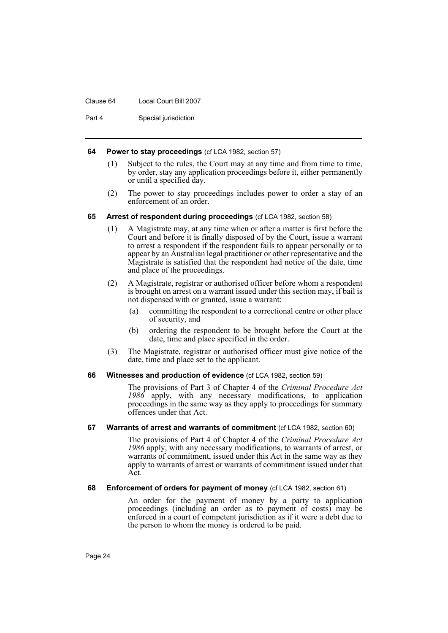#### Clause 64 Local Court Bill 2007

Part 4 Special jurisdiction

#### <span id="page-27-0"></span>**64 Power to stay proceedings** (cf LCA 1982, section 57)

- (1) Subject to the rules, the Court may at any time and from time to time, by order, stay any application proceedings before it, either permanently or until a specified day.
- (2) The power to stay proceedings includes power to order a stay of an enforcement of an order.

#### <span id="page-27-1"></span>**65 Arrest of respondent during proceedings** (cf LCA 1982, section 58)

- (1) A Magistrate may, at any time when or after a matter is first before the Court and before it is finally disposed of by the Court, issue a warrant to arrest a respondent if the respondent fails to appear personally or to appear by an Australian legal practitioner or other representative and the Magistrate is satisfied that the respondent had notice of the date, time and place of the proceedings.
- (2) A Magistrate, registrar or authorised officer before whom a respondent is brought on arrest on a warrant issued under this section may, if bail is not dispensed with or granted, issue a warrant:
	- (a) committing the respondent to a correctional centre or other place of security, and
	- (b) ordering the respondent to be brought before the Court at the date, time and place specified in the order.
- (3) The Magistrate, registrar or authorised officer must give notice of the date, time and place set to the applicant.

#### <span id="page-27-2"></span>**66 Witnesses and production of evidence** (cf LCA 1982, section 59)

The provisions of Part 3 of Chapter 4 of the *Criminal Procedure Act 1986* apply, with any necessary modifications, to application proceedings in the same way as they apply to proceedings for summary offences under that Act.

#### <span id="page-27-3"></span>**67 Warrants of arrest and warrants of commitment** (cf LCA 1982, section 60)

The provisions of Part 4 of Chapter 4 of the *Criminal Procedure Act 1986* apply, with any necessary modifications, to warrants of arrest, or warrants of commitment, issued under this Act in the same way as they apply to warrants of arrest or warrants of commitment issued under that Act.

<span id="page-27-4"></span>**68 Enforcement of orders for payment of money** (cf LCA 1982, section 61)

An order for the payment of money by a party to application proceedings (including an order as to payment of costs) may be enforced in a court of competent jurisdiction as if it were a debt due to the person to whom the money is ordered to be paid.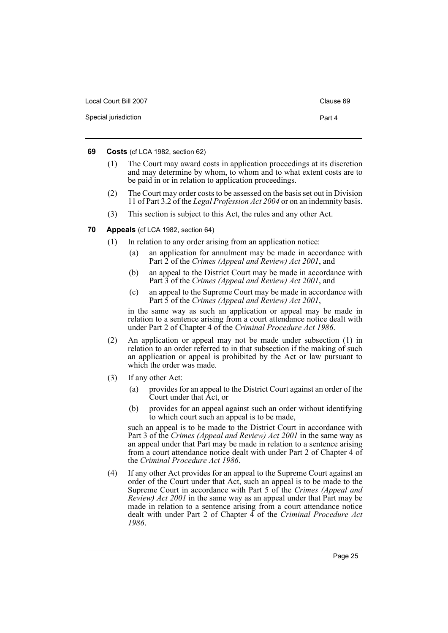| Local Court Bill 2007 | Clause 69 |
|-----------------------|-----------|
| Special jurisdiction  | Part 4    |

#### <span id="page-28-0"></span>**69 Costs** (cf LCA 1982, section 62)

- (1) The Court may award costs in application proceedings at its discretion and may determine by whom, to whom and to what extent costs are to be paid in or in relation to application proceedings.
- (2) The Court may order costs to be assessed on the basis set out in Division 11 of Part 3.2 of the *Legal Profession Act 2004* or on an indemnity basis.
- (3) This section is subject to this Act, the rules and any other Act.
- <span id="page-28-1"></span>**70 Appeals** (cf LCA 1982, section 64)
	- (1) In relation to any order arising from an application notice:
		- (a) an application for annulment may be made in accordance with Part 2 of the *Crimes (Appeal and Review) Act 2001*, and
		- (b) an appeal to the District Court may be made in accordance with Part 3 of the *Crimes (Appeal and Review) Act 2001*, and
		- (c) an appeal to the Supreme Court may be made in accordance with Part 5 of the *Crimes (Appeal and Review) Act 2001*,

in the same way as such an application or appeal may be made in relation to a sentence arising from a court attendance notice dealt with under Part 2 of Chapter 4 of the *Criminal Procedure Act 1986*.

- (2) An application or appeal may not be made under subsection (1) in relation to an order referred to in that subsection if the making of such an application or appeal is prohibited by the Act or law pursuant to which the order was made.
- (3) If any other Act:
	- (a) provides for an appeal to the District Court against an order of the Court under that Act, or
	- (b) provides for an appeal against such an order without identifying to which court such an appeal is to be made,

such an appeal is to be made to the District Court in accordance with Part 3 of the *Crimes (Appeal and Review) Act 2001* in the same way as an appeal under that Part may be made in relation to a sentence arising from a court attendance notice dealt with under Part 2 of Chapter 4 of the *Criminal Procedure Act 1986*.

(4) If any other Act provides for an appeal to the Supreme Court against an order of the Court under that Act, such an appeal is to be made to the Supreme Court in accordance with Part 5 of the *Crimes (Appeal and Review) Act 2001* in the same way as an appeal under that Part may be made in relation to a sentence arising from a court attendance notice dealt with under Part 2 of Chapter 4 of the *Criminal Procedure Act 1986*.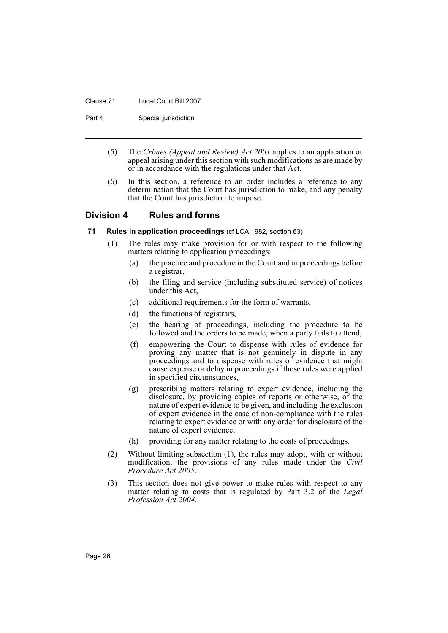#### Clause 71 Local Court Bill 2007

Part 4 Special jurisdiction

- (5) The *Crimes (Appeal and Review) Act 2001* applies to an application or appeal arising under this section with such modifications as are made by or in accordance with the regulations under that Act.
- (6) In this section, a reference to an order includes a reference to any determination that the Court has jurisdiction to make, and any penalty that the Court has jurisdiction to impose.

# <span id="page-29-0"></span>**Division 4 Rules and forms**

- <span id="page-29-1"></span>**71 Rules in application proceedings** (cf LCA 1982, section 63)
	- (1) The rules may make provision for or with respect to the following matters relating to application proceedings:
		- (a) the practice and procedure in the Court and in proceedings before a registrar,
		- (b) the filing and service (including substituted service) of notices under this Act,
		- (c) additional requirements for the form of warrants,
		- (d) the functions of registrars,
		- (e) the hearing of proceedings, including the procedure to be followed and the orders to be made, when a party fails to attend,
		- (f) empowering the Court to dispense with rules of evidence for proving any matter that is not genuinely in dispute in any proceedings and to dispense with rules of evidence that might cause expense or delay in proceedings if those rules were applied in specified circumstances,
		- (g) prescribing matters relating to expert evidence, including the disclosure, by providing copies of reports or otherwise, of the nature of expert evidence to be given, and including the exclusion of expert evidence in the case of non-compliance with the rules relating to expert evidence or with any order for disclosure of the nature of expert evidence,
		- (h) providing for any matter relating to the costs of proceedings.
	- (2) Without limiting subsection (1), the rules may adopt, with or without modification, the provisions of any rules made under the *Civil Procedure Act 2005*.
	- (3) This section does not give power to make rules with respect to any matter relating to costs that is regulated by Part 3.2 of the *Legal Profession Act 2004*.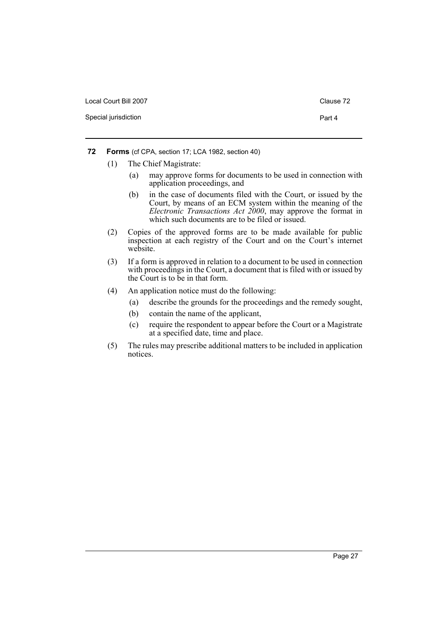| Local Court Bill 2007 | Clause 72 |
|-----------------------|-----------|
| Special jurisdiction  | Part 4    |

- <span id="page-30-0"></span>**72 Forms** (cf CPA, section 17; LCA 1982, section 40)
	- (1) The Chief Magistrate:
		- (a) may approve forms for documents to be used in connection with application proceedings, and
		- (b) in the case of documents filed with the Court, or issued by the Court, by means of an ECM system within the meaning of the *Electronic Transactions Act 2000*, may approve the format in which such documents are to be filed or issued.
	- (2) Copies of the approved forms are to be made available for public inspection at each registry of the Court and on the Court's internet website.
	- (3) If a form is approved in relation to a document to be used in connection with proceedings in the Court, a document that is filed with or issued by the Court is to be in that form.
	- (4) An application notice must do the following:
		- (a) describe the grounds for the proceedings and the remedy sought,
		- (b) contain the name of the applicant,
		- (c) require the respondent to appear before the Court or a Magistrate at a specified date, time and place.
	- (5) The rules may prescribe additional matters to be included in application notices.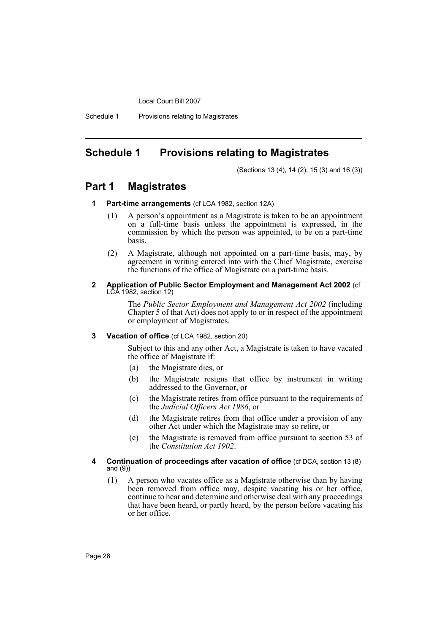Schedule 1 Provisions relating to Magistrates

# <span id="page-31-0"></span>**Schedule 1 Provisions relating to Magistrates**

(Sections 13 (4), 14 (2), 15 (3) and 16 (3))

# **Part 1 Magistrates**

- **1 Part-time arrangements** (cf LCA 1982, section 12A)
	- (1) A person's appointment as a Magistrate is taken to be an appointment on a full-time basis unless the appointment is expressed, in the commission by which the person was appointed, to be on a part-time basis.
	- (2) A Magistrate, although not appointed on a part-time basis, may, by agreement in writing entered into with the Chief Magistrate, exercise the functions of the office of Magistrate on a part-time basis.

#### **2 Application of Public Sector Employment and Management Act 2002** (cf LCA 1982, section 12)

The *Public Sector Employment and Management Act 2002* (including Chapter 5 of that Act) does not apply to or in respect of the appointment or employment of Magistrates.

#### **3 Vacation of office** (cf LCA 1982, section 20)

Subject to this and any other Act, a Magistrate is taken to have vacated the office of Magistrate if:

- (a) the Magistrate dies, or
- (b) the Magistrate resigns that office by instrument in writing addressed to the Governor, or
- (c) the Magistrate retires from office pursuant to the requirements of the *Judicial Officers Act 1986*, or
- (d) the Magistrate retires from that office under a provision of any other Act under which the Magistrate may so retire, or
- (e) the Magistrate is removed from office pursuant to section 53 of the *Constitution Act 1902*.
- **4 Continuation of proceedings after vacation of office** (cf DCA, section 13 (8) and (9))
	- (1) A person who vacates office as a Magistrate otherwise than by having been removed from office may, despite vacating his or her office, continue to hear and determine and otherwise deal with any proceedings that have been heard, or partly heard, by the person before vacating his or her office.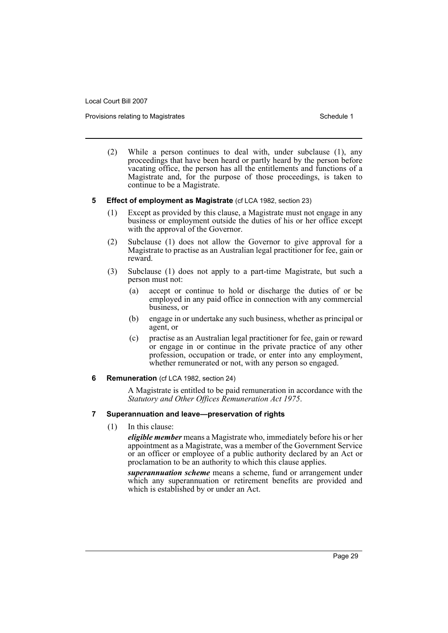Provisions relating to Magistrates **Schedule 1** and the Schedule 1

- (2) While a person continues to deal with, under subclause (1), any proceedings that have been heard or partly heard by the person before vacating office, the person has all the entitlements and functions of a Magistrate and, for the purpose of those proceedings, is taken to continue to be a Magistrate.
- **5 Effect of employment as Magistrate** (cf LCA 1982, section 23)
	- (1) Except as provided by this clause, a Magistrate must not engage in any business or employment outside the duties of his or her office except with the approval of the Governor.
	- (2) Subclause (1) does not allow the Governor to give approval for a Magistrate to practise as an Australian legal practitioner for fee, gain or reward.
	- (3) Subclause (1) does not apply to a part-time Magistrate, but such a person must not:
		- (a) accept or continue to hold or discharge the duties of or be employed in any paid office in connection with any commercial business, or
		- (b) engage in or undertake any such business, whether as principal or agent, or
		- (c) practise as an Australian legal practitioner for fee, gain or reward or engage in or continue in the private practice of any other profession, occupation or trade, or enter into any employment, whether remunerated or not, with any person so engaged.

#### **6 Remuneration** (cf LCA 1982, section 24)

A Magistrate is entitled to be paid remuneration in accordance with the *Statutory and Other Offices Remuneration Act 1975*.

#### **7 Superannuation and leave—preservation of rights**

(1) In this clause:

*eligible member* means a Magistrate who, immediately before his or her appointment as a Magistrate, was a member of the Government Service or an officer or employee of a public authority declared by an Act or proclamation to be an authority to which this clause applies.

*superannuation scheme* means a scheme, fund or arrangement under which any superannuation or retirement benefits are provided and which is established by or under an Act.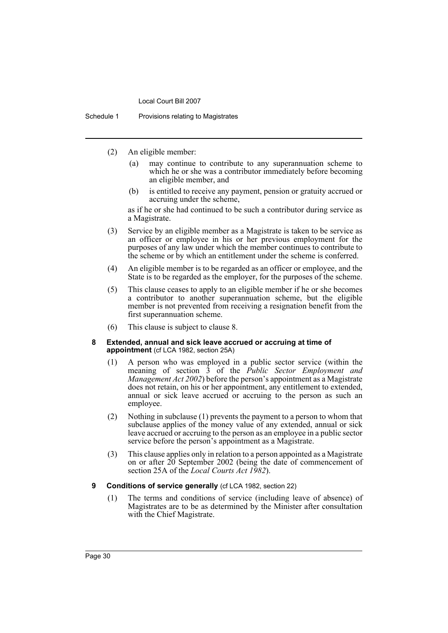Schedule 1 Provisions relating to Magistrates

- (2) An eligible member:
	- (a) may continue to contribute to any superannuation scheme to which he or she was a contributor immediately before becoming an eligible member, and
	- (b) is entitled to receive any payment, pension or gratuity accrued or accruing under the scheme,

as if he or she had continued to be such a contributor during service as a Magistrate.

- (3) Service by an eligible member as a Magistrate is taken to be service as an officer or employee in his or her previous employment for the purposes of any law under which the member continues to contribute to the scheme or by which an entitlement under the scheme is conferred.
- (4) An eligible member is to be regarded as an officer or employee, and the State is to be regarded as the employer, for the purposes of the scheme.
- (5) This clause ceases to apply to an eligible member if he or she becomes a contributor to another superannuation scheme, but the eligible member is not prevented from receiving a resignation benefit from the first superannuation scheme.
- (6) This clause is subject to clause 8.

#### **8 Extended, annual and sick leave accrued or accruing at time of appointment** (cf LCA 1982, section 25A)

- (1) A person who was employed in a public sector service (within the meaning of section 3 of the *Public Sector Employment and Management Act 2002*) before the person's appointment as a Magistrate does not retain, on his or her appointment, any entitlement to extended, annual or sick leave accrued or accruing to the person as such an employee.
- (2) Nothing in subclause (1) prevents the payment to a person to whom that subclause applies of the money value of any extended, annual or sick leave accrued or accruing to the person as an employee in a public sector service before the person's appointment as a Magistrate.
- (3) This clause applies only in relation to a person appointed as a Magistrate on or after 20 September 2002 (being the date of commencement of section 25A of the *Local Courts Act 1982*).
- **9 Conditions of service generally** (cf LCA 1982, section 22)
	- (1) The terms and conditions of service (including leave of absence) of Magistrates are to be as determined by the Minister after consultation with the Chief Magistrate.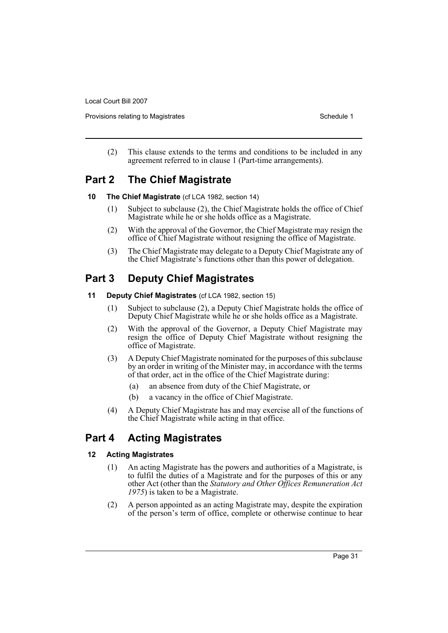Provisions relating to Magistrates **Schedule 1** Schedule 1

(2) This clause extends to the terms and conditions to be included in any agreement referred to in clause 1 (Part-time arrangements).

# **Part 2 The Chief Magistrate**

- **10 The Chief Magistrate** (cf LCA 1982, section 14)
	- (1) Subject to subclause (2), the Chief Magistrate holds the office of Chief Magistrate while he or she holds office as a Magistrate.
	- (2) With the approval of the Governor, the Chief Magistrate may resign the office of Chief Magistrate without resigning the office of Magistrate.
	- (3) The Chief Magistrate may delegate to a Deputy Chief Magistrate any of the Chief Magistrate's functions other than this power of delegation.

# **Part 3 Deputy Chief Magistrates**

- **11 Deputy Chief Magistrates** (cf LCA 1982, section 15)
	- (1) Subject to subclause (2), a Deputy Chief Magistrate holds the office of Deputy Chief Magistrate while he or she holds office as a Magistrate.
	- (2) With the approval of the Governor, a Deputy Chief Magistrate may resign the office of Deputy Chief Magistrate without resigning the office of Magistrate.
	- (3) A Deputy Chief Magistrate nominated for the purposes of this subclause by an order in writing of the Minister may, in accordance with the terms of that order, act in the office of the Chief Magistrate during:
		- (a) an absence from duty of the Chief Magistrate, or
		- (b) a vacancy in the office of Chief Magistrate.
	- (4) A Deputy Chief Magistrate has and may exercise all of the functions of the Chief Magistrate while acting in that office.

# **Part 4 Acting Magistrates**

# **12 Acting Magistrates**

- (1) An acting Magistrate has the powers and authorities of a Magistrate, is to fulfil the duties of a Magistrate and for the purposes of this or any other Act (other than the *Statutory and Other Offices Remuneration Act 1975*) is taken to be a Magistrate.
- (2) A person appointed as an acting Magistrate may, despite the expiration of the person's term of office, complete or otherwise continue to hear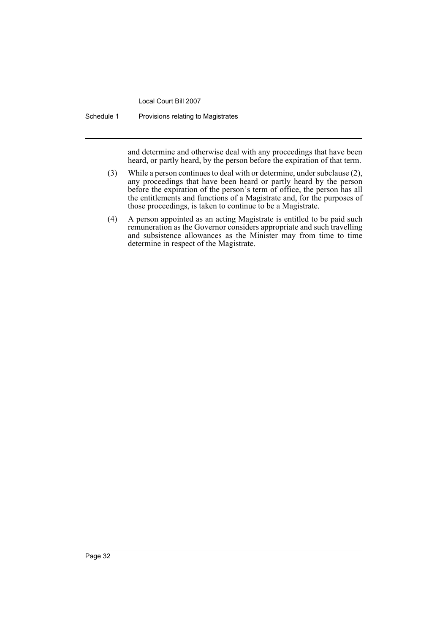Schedule 1 Provisions relating to Magistrates

and determine and otherwise deal with any proceedings that have been heard, or partly heard, by the person before the expiration of that term.

- (3) While a person continues to deal with or determine, under subclause (2), any proceedings that have been heard or partly heard by the person before the expiration of the person's term of office, the person has all the entitlements and functions of a Magistrate and, for the purposes of those proceedings, is taken to continue to be a Magistrate.
- (4) A person appointed as an acting Magistrate is entitled to be paid such remuneration as the Governor considers appropriate and such travelling and subsistence allowances as the Minister may from time to time determine in respect of the Magistrate.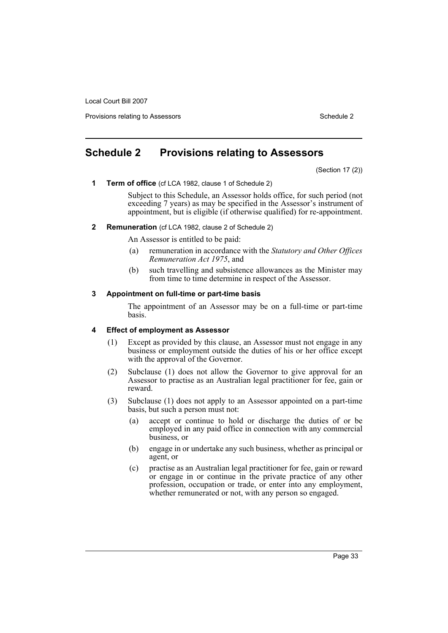Provisions relating to Assessors Schedule 2 and the Control of the Control of the Control of the Control of the Control of the Control of the Control of the Control of the Control of the Control of the Control of the Contr

# <span id="page-36-0"></span>**Schedule 2 Provisions relating to Assessors**

(Section 17 (2))

**1 Term of office** (cf LCA 1982, clause 1 of Schedule 2)

Subject to this Schedule, an Assessor holds office, for such period (not exceeding 7 years) as may be specified in the Assessor's instrument of appointment, but is eligible (if otherwise qualified) for re-appointment.

#### **2 Remuneration** (cf LCA 1982, clause 2 of Schedule 2)

An Assessor is entitled to be paid:

- (a) remuneration in accordance with the *Statutory and Other Offices Remuneration Act 1975*, and
- (b) such travelling and subsistence allowances as the Minister may from time to time determine in respect of the Assessor.

#### **3 Appointment on full-time or part-time basis**

The appointment of an Assessor may be on a full-time or part-time basis.

#### **4 Effect of employment as Assessor**

- (1) Except as provided by this clause, an Assessor must not engage in any business or employment outside the duties of his or her office except with the approval of the Governor.
- (2) Subclause (1) does not allow the Governor to give approval for an Assessor to practise as an Australian legal practitioner for fee, gain or reward.
- (3) Subclause (1) does not apply to an Assessor appointed on a part-time basis, but such a person must not:
	- (a) accept or continue to hold or discharge the duties of or be employed in any paid office in connection with any commercial business, or
	- (b) engage in or undertake any such business, whether as principal or agent, or
	- (c) practise as an Australian legal practitioner for fee, gain or reward or engage in or continue in the private practice of any other profession, occupation or trade, or enter into any employment, whether remunerated or not, with any person so engaged.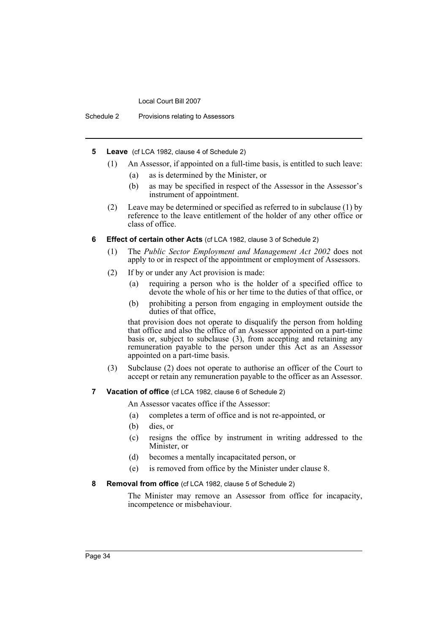Schedule 2 Provisions relating to Assessors

- **5 Leave** (cf LCA 1982, clause 4 of Schedule 2)
	- (1) An Assessor, if appointed on a full-time basis, is entitled to such leave:
		- (a) as is determined by the Minister, or
		- (b) as may be specified in respect of the Assessor in the Assessor's instrument of appointment.
	- (2) Leave may be determined or specified as referred to in subclause (1) by reference to the leave entitlement of the holder of any other office or class of office.
- **6 Effect of certain other Acts** (cf LCA 1982, clause 3 of Schedule 2)
	- (1) The *Public Sector Employment and Management Act 2002* does not apply to or in respect of the appointment or employment of Assessors.
	- (2) If by or under any Act provision is made:
		- (a) requiring a person who is the holder of a specified office to devote the whole of his or her time to the duties of that office, or
		- (b) prohibiting a person from engaging in employment outside the duties of that office,

that provision does not operate to disqualify the person from holding that office and also the office of an Assessor appointed on a part-time basis or, subject to subclause (3), from accepting and retaining any remuneration payable to the person under this Act as an Assessor appointed on a part-time basis.

- (3) Subclause (2) does not operate to authorise an officer of the Court to accept or retain any remuneration payable to the officer as an Assessor.
- **7 Vacation of office** (cf LCA 1982, clause 6 of Schedule 2)

An Assessor vacates office if the Assessor:

- (a) completes a term of office and is not re-appointed, or
- (b) dies, or
- (c) resigns the office by instrument in writing addressed to the Minister, or
- (d) becomes a mentally incapacitated person, or
- (e) is removed from office by the Minister under clause 8.
- **8 Removal from office** (cf LCA 1982, clause 5 of Schedule 2)

The Minister may remove an Assessor from office for incapacity, incompetence or misbehaviour.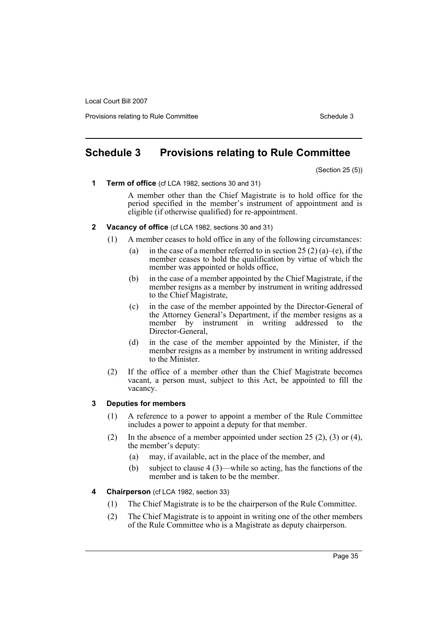Provisions relating to Rule Committee **Schedule 3** Schedule 3

# <span id="page-38-0"></span>**Schedule 3 Provisions relating to Rule Committee**

(Section 25 (5))

**1 Term of office** (cf LCA 1982, sections 30 and 31)

A member other than the Chief Magistrate is to hold office for the period specified in the member's instrument of appointment and is eligible (if otherwise qualified) for re-appointment.

- **2 Vacancy of office** (cf LCA 1982, sections 30 and 31)
	- (1) A member ceases to hold office in any of the following circumstances:
		- (a) in the case of a member referred to in section 25 (2) (a)–(e), if the member ceases to hold the qualification by virtue of which the member was appointed or holds office,
		- (b) in the case of a member appointed by the Chief Magistrate, if the member resigns as a member by instrument in writing addressed to the Chief Magistrate,
		- (c) in the case of the member appointed by the Director-General of the Attorney General's Department, if the member resigns as a member by instrument in writing addressed to the Director-General,
		- (d) in the case of the member appointed by the Minister, if the member resigns as a member by instrument in writing addressed to the Minister.
	- (2) If the office of a member other than the Chief Magistrate becomes vacant, a person must, subject to this Act, be appointed to fill the vacancy.

# **3 Deputies for members**

- (1) A reference to a power to appoint a member of the Rule Committee includes a power to appoint a deputy for that member.
- (2) In the absence of a member appointed under section  $25(2)$ ,  $(3)$  or  $(4)$ , the member's deputy:
	- (a) may, if available, act in the place of the member, and
	- (b) subject to clause 4 (3)—while so acting, has the functions of the member and is taken to be the member.
- **4 Chairperson** (cf LCA 1982, section 33)
	- (1) The Chief Magistrate is to be the chairperson of the Rule Committee.
	- (2) The Chief Magistrate is to appoint in writing one of the other members of the Rule Committee who is a Magistrate as deputy chairperson.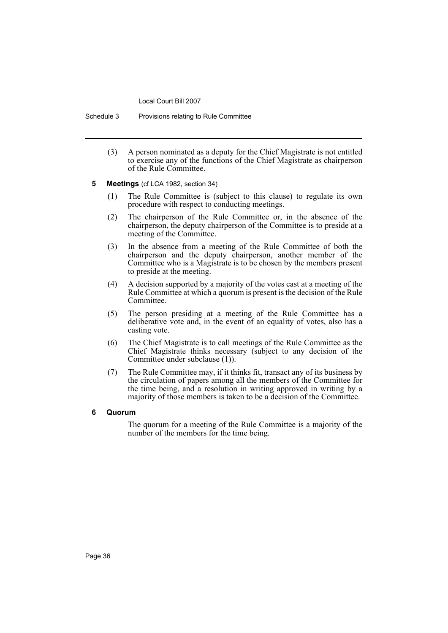Schedule 3 Provisions relating to Rule Committee

- (3) A person nominated as a deputy for the Chief Magistrate is not entitled to exercise any of the functions of the Chief Magistrate as chairperson of the Rule Committee.
- **5 Meetings** (cf LCA 1982, section 34)
	- (1) The Rule Committee is (subject to this clause) to regulate its own procedure with respect to conducting meetings.
	- (2) The chairperson of the Rule Committee or, in the absence of the chairperson, the deputy chairperson of the Committee is to preside at a meeting of the Committee.
	- (3) In the absence from a meeting of the Rule Committee of both the chairperson and the deputy chairperson, another member of the Committee who is a Magistrate is to be chosen by the members present to preside at the meeting.
	- (4) A decision supported by a majority of the votes cast at a meeting of the Rule Committee at which a quorum is present is the decision of the Rule Committee.
	- (5) The person presiding at a meeting of the Rule Committee has a deliberative vote and, in the event of an equality of votes, also has a casting vote.
	- (6) The Chief Magistrate is to call meetings of the Rule Committee as the Chief Magistrate thinks necessary (subject to any decision of the Committee under subclause (1)).
	- (7) The Rule Committee may, if it thinks fit, transact any of its business by the circulation of papers among all the members of the Committee for the time being, and a resolution in writing approved in writing by a majority of those members is taken to be a decision of the Committee.

# **6 Quorum**

The quorum for a meeting of the Rule Committee is a majority of the number of the members for the time being.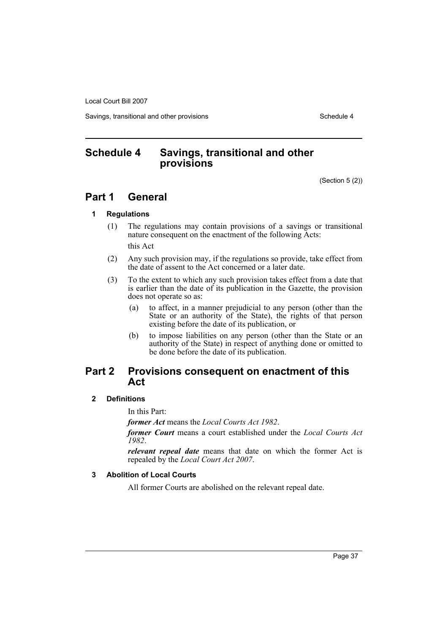Savings, transitional and other provisions Schedule 4

# <span id="page-40-0"></span>**Schedule 4 Savings, transitional and other provisions**

(Section 5 (2))

# **Part 1 General**

#### **1 Regulations**

(1) The regulations may contain provisions of a savings or transitional nature consequent on the enactment of the following Acts:

this Act

- (2) Any such provision may, if the regulations so provide, take effect from the date of assent to the Act concerned or a later date.
- (3) To the extent to which any such provision takes effect from a date that is earlier than the date of its publication in the Gazette, the provision does not operate so as:
	- (a) to affect, in a manner prejudicial to any person (other than the State or an authority of the State), the rights of that person existing before the date of its publication, or
	- (b) to impose liabilities on any person (other than the State or an authority of the State) in respect of anything done or omitted to be done before the date of its publication.

# **Part 2 Provisions consequent on enactment of this Act**

# **2 Definitions**

In this Part:

*former Act* means the *Local Courts Act 1982*.

*former Court* means a court established under the *Local Courts Act 1982*.

*relevant repeal date* means that date on which the former Act is repealed by the *Local Court Act 2007*.

# **3 Abolition of Local Courts**

All former Courts are abolished on the relevant repeal date.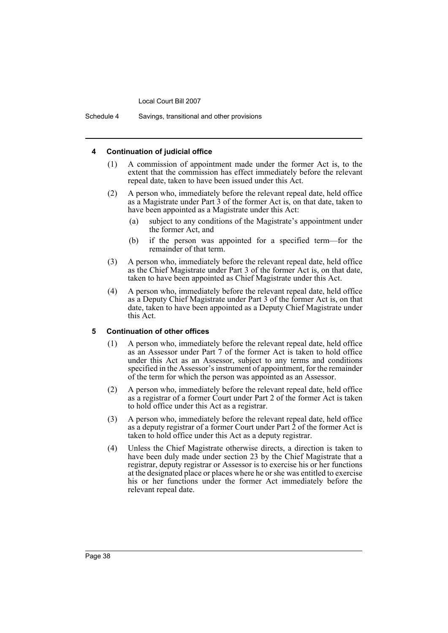Schedule 4 Savings, transitional and other provisions

#### **4 Continuation of judicial office**

- (1) A commission of appointment made under the former Act is, to the extent that the commission has effect immediately before the relevant repeal date, taken to have been issued under this Act.
- (2) A person who, immediately before the relevant repeal date, held office as a Magistrate under Part 3 of the former Act is, on that date, taken to have been appointed as a Magistrate under this Act:
	- (a) subject to any conditions of the Magistrate's appointment under the former Act, and
	- (b) if the person was appointed for a specified term—for the remainder of that term.
- (3) A person who, immediately before the relevant repeal date, held office as the Chief Magistrate under Part 3 of the former Act is, on that date, taken to have been appointed as Chief Magistrate under this Act.
- (4) A person who, immediately before the relevant repeal date, held office as a Deputy Chief Magistrate under Part 3 of the former Act is, on that date, taken to have been appointed as a Deputy Chief Magistrate under this Act.

#### **5 Continuation of other offices**

- (1) A person who, immediately before the relevant repeal date, held office as an Assessor under Part 7 of the former Act is taken to hold office under this Act as an Assessor, subject to any terms and conditions specified in the Assessor's instrument of appointment, for the remainder of the term for which the person was appointed as an Assessor.
- (2) A person who, immediately before the relevant repeal date, held office as a registrar of a former Court under Part 2 of the former Act is taken to hold office under this Act as a registrar.
- (3) A person who, immediately before the relevant repeal date, held office as a deputy registrar of a former Court under Part  $\overline{2}$  of the former Act is taken to hold office under this Act as a deputy registrar.
- (4) Unless the Chief Magistrate otherwise directs, a direction is taken to have been duly made under section 23 by the Chief Magistrate that a registrar, deputy registrar or Assessor is to exercise his or her functions at the designated place or places where he or she was entitled to exercise his or her functions under the former Act immediately before the relevant repeal date.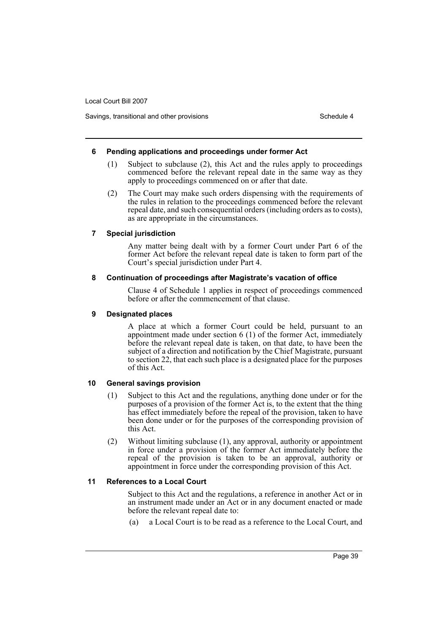Savings, transitional and other provisions Schedule 4 and the state of the Schedule 4

#### **6 Pending applications and proceedings under former Act**

- (1) Subject to subclause (2), this Act and the rules apply to proceedings commenced before the relevant repeal date in the same way as they apply to proceedings commenced on or after that date.
- (2) The Court may make such orders dispensing with the requirements of the rules in relation to the proceedings commenced before the relevant repeal date, and such consequential orders (including orders as to costs), as are appropriate in the circumstances.

#### **7 Special jurisdiction**

Any matter being dealt with by a former Court under Part 6 of the former Act before the relevant repeal date is taken to form part of the Court's special jurisdiction under Part 4.

#### **8 Continuation of proceedings after Magistrate's vacation of office**

Clause 4 of Schedule 1 applies in respect of proceedings commenced before or after the commencement of that clause.

### **9 Designated places**

A place at which a former Court could be held, pursuant to an appointment made under section 6 (1) of the former Act, immediately before the relevant repeal date is taken, on that date, to have been the subject of a direction and notification by the Chief Magistrate, pursuant to section 22, that each such place is a designated place for the purposes of this Act.

# **10 General savings provision**

- (1) Subject to this Act and the regulations, anything done under or for the purposes of a provision of the former Act is, to the extent that the thing has effect immediately before the repeal of the provision, taken to have been done under or for the purposes of the corresponding provision of this Act.
- (2) Without limiting subclause (1), any approval, authority or appointment in force under a provision of the former Act immediately before the repeal of the provision is taken to be an approval, authority or appointment in force under the corresponding provision of this Act.

# **11 References to a Local Court**

Subject to this Act and the regulations, a reference in another Act or in an instrument made under an Act or in any document enacted or made before the relevant repeal date to:

(a) a Local Court is to be read as a reference to the Local Court, and